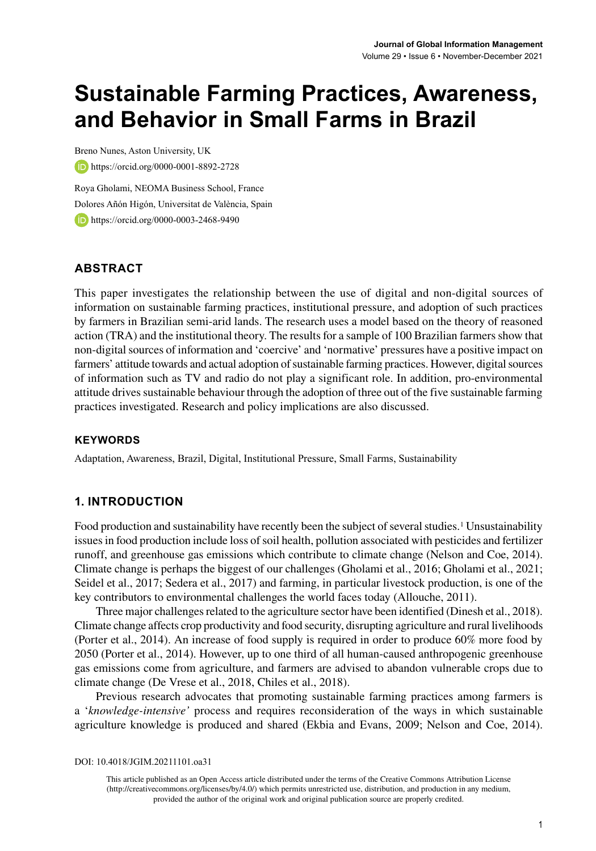# **Sustainable Farming Practices, Awareness, and Behavior in Small Farms in Brazil**

Breno Nunes, Aston University, UK <https://orcid.org/0000-0001-8892-2728>

Roya Gholami, NEOMA Business School, France Dolores Añón Higón, Universitat de València, Spain **b**<https://orcid.org/0000-0003-2468-9490>

# **ABSTRACT**

This paper investigates the relationship between the use of digital and non-digital sources of information on sustainable farming practices, institutional pressure, and adoption of such practices by farmers in Brazilian semi-arid lands. The research uses a model based on the theory of reasoned action (TRA) and the institutional theory. The results for a sample of 100 Brazilian farmers show that non-digital sources of information and 'coercive' and 'normative' pressures have a positive impact on farmers' attitude towards and actual adoption of sustainable farming practices. However, digital sources of information such as TV and radio do not play a significant role. In addition, pro-environmental attitude drives sustainable behaviour through the adoption of three out of the five sustainable farming practices investigated. Research and policy implications are also discussed.

## **Keywords**

Adaptation, Awareness, Brazil, Digital, Institutional Pressure, Small Farms, Sustainability

# **1. INTRODUCTION**

Food production and sustainability have recently been the subject of several studies.<sup>1</sup> Unsustainability issues in food production include loss of soil health, pollution associated with pesticides and fertilizer runoff, and greenhouse gas emissions which contribute to climate change (Nelson and Coe, 2014). Climate change is perhaps the biggest of our challenges (Gholami et al., 2016; Gholami et al., 2021; Seidel et al., 2017; Sedera et al., 2017) and farming, in particular livestock production, is one of the key contributors to environmental challenges the world faces today (Allouche, 2011).

Three major challenges related to the agriculture sector have been identified (Dinesh et al., 2018). Climate change affects crop productivity and food security, disrupting agriculture and rural livelihoods (Porter et al., 2014). An increase of food supply is required in order to produce 60% more food by 2050 (Porter et al., 2014). However, up to one third of all human-caused anthropogenic greenhouse gas emissions come from agriculture, and farmers are advised to abandon vulnerable crops due to climate change (De Vrese et al., 2018, Chiles et al., 2018).

Previous research advocates that promoting sustainable farming practices among farmers is a '*knowledge-intensive'* process and requires reconsideration of the ways in which sustainable agriculture knowledge is produced and shared (Ekbia and Evans, 2009; Nelson and Coe, 2014).

DOI: 10.4018/JGIM.20211101.oa31

This article published as an Open Access article distributed under the terms of the Creative Commons Attribution License (http://creativecommons.org/licenses/by/4.0/) which permits unrestricted use, distribution, and production in any medium, provided the author of the original work and original publication source are properly credited.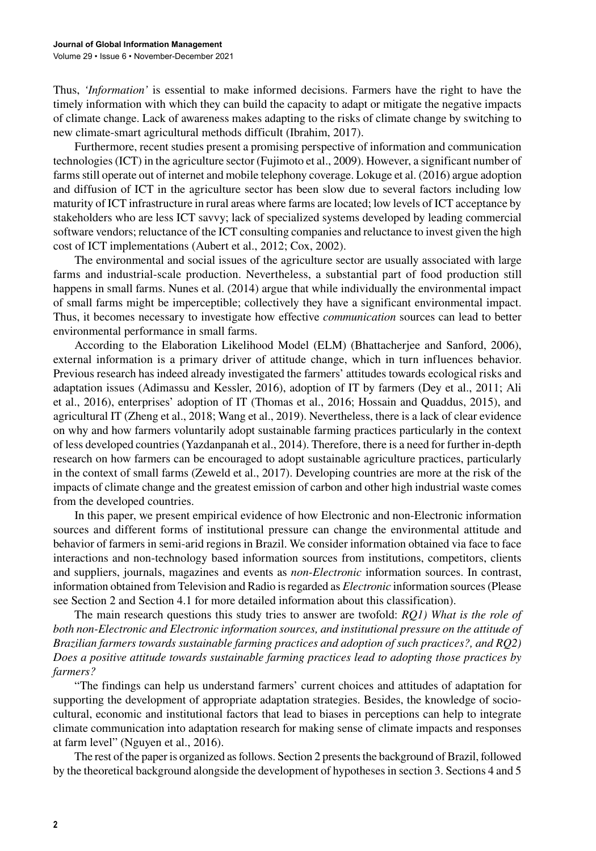Thus, *'Information'* is essential to make informed decisions. Farmers have the right to have the timely information with which they can build the capacity to adapt or mitigate the negative impacts of climate change. Lack of awareness makes adapting to the risks of climate change by switching to new climate-smart agricultural methods difficult (Ibrahim, 2017).

Furthermore, recent studies present a promising perspective of information and communication technologies (ICT) in the agriculture sector (Fujimoto et al., 2009). However, a significant number of farms still operate out of internet and mobile telephony coverage. Lokuge et al. (2016) argue adoption and diffusion of ICT in the agriculture sector has been slow due to several factors including low maturity of ICT infrastructure in rural areas where farms are located; low levels of ICT acceptance by stakeholders who are less ICT savvy; lack of specialized systems developed by leading commercial software vendors; reluctance of the ICT consulting companies and reluctance to invest given the high cost of ICT implementations (Aubert et al., 2012; Cox, 2002).

The environmental and social issues of the agriculture sector are usually associated with large farms and industrial-scale production. Nevertheless, a substantial part of food production still happens in small farms. Nunes et al. (2014) argue that while individually the environmental impact of small farms might be imperceptible; collectively they have a significant environmental impact. Thus, it becomes necessary to investigate how effective *communication* sources can lead to better environmental performance in small farms.

According to the Elaboration Likelihood Model (ELM) (Bhattacherjee and Sanford, 2006), external information is a primary driver of attitude change, which in turn influences behavior. Previous research has indeed already investigated the farmers' attitudes towards ecological risks and adaptation issues (Adimassu and Kessler, 2016), adoption of IT by farmers (Dey et al., 2011; Ali et al., 2016), enterprises' adoption of IT (Thomas et al., 2016; Hossain and Quaddus, 2015), and agricultural IT (Zheng et al., 2018; Wang et al., 2019). Nevertheless, there is a lack of clear evidence on why and how farmers voluntarily adopt sustainable farming practices particularly in the context of less developed countries (Yazdanpanah et al., 2014). Therefore, there is a need for further in-depth research on how farmers can be encouraged to adopt sustainable agriculture practices, particularly in the context of small farms (Zeweld et al., 2017). Developing countries are more at the risk of the impacts of climate change and the greatest emission of carbon and other high industrial waste comes from the developed countries.

In this paper, we present empirical evidence of how Electronic and non-Electronic information sources and different forms of institutional pressure can change the environmental attitude and behavior of farmers in semi-arid regions in Brazil. We consider information obtained via face to face interactions and non-technology based information sources from institutions, competitors, clients and suppliers, journals, magazines and events as *non-Electronic* information sources. In contrast, information obtained from Television and Radio is regarded as *Electronic* information sources (Please see Section 2 and Section 4.1 for more detailed information about this classification).

The main research questions this study tries to answer are twofold: *RQ1) What is the role of both non-Electronic and Electronic information sources, and institutional pressure on the attitude of Brazilian farmers towards sustainable farming practices and adoption of such practices?, and RQ2) Does a positive attitude towards sustainable farming practices lead to adopting those practices by farmers?*

"The findings can help us understand farmers' current choices and attitudes of adaptation for supporting the development of appropriate adaptation strategies. Besides, the knowledge of sociocultural, economic and institutional factors that lead to biases in perceptions can help to integrate climate communication into adaptation research for making sense of climate impacts and responses at farm level" (Nguyen et al., 2016).

The rest of the paper is organized as follows. Section 2 presents the background of Brazil, followed by the theoretical background alongside the development of hypotheses in section 3. Sections 4 and 5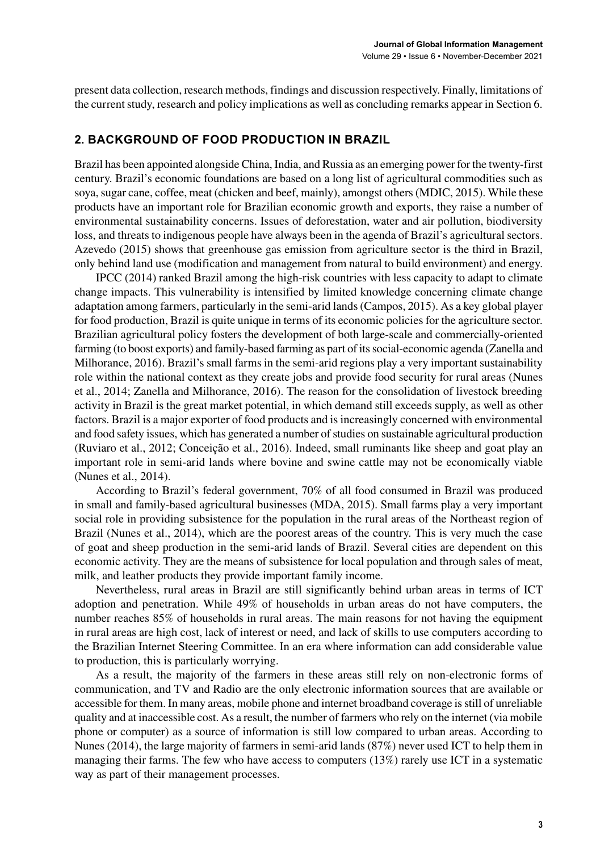present data collection, research methods, findings and discussion respectively. Finally, limitations of the current study, research and policy implications as well as concluding remarks appear in Section 6.

## **2. BACKGROUND OF FOOD PRODUCTION IN BRAZIL**

Brazil has been appointed alongside China, India, and Russia as an emerging power for the twenty-first century. Brazil's economic foundations are based on a long list of agricultural commodities such as soya, sugar cane, coffee, meat (chicken and beef, mainly), amongst others (MDIC, 2015). While these products have an important role for Brazilian economic growth and exports, they raise a number of environmental sustainability concerns. Issues of deforestation, water and air pollution, biodiversity loss, and threats to indigenous people have always been in the agenda of Brazil's agricultural sectors. Azevedo (2015) shows that greenhouse gas emission from agriculture sector is the third in Brazil, only behind land use (modification and management from natural to build environment) and energy.

IPCC (2014) ranked Brazil among the high-risk countries with less capacity to adapt to climate change impacts. This vulnerability is intensified by limited knowledge concerning climate change adaptation among farmers, particularly in the semi-arid lands (Campos, 2015). As a key global player for food production, Brazil is quite unique in terms of its economic policies for the agriculture sector. Brazilian agricultural policy fosters the development of both large-scale and commercially-oriented farming (to boost exports) and family-based farming as part of its social-economic agenda (Zanella and Milhorance, 2016). Brazil's small farms in the semi-arid regions play a very important sustainability role within the national context as they create jobs and provide food security for rural areas (Nunes et al., 2014; Zanella and Milhorance, 2016). The reason for the consolidation of livestock breeding activity in Brazil is the great market potential, in which demand still exceeds supply, as well as other factors. Brazil is a major exporter of food products and is increasingly concerned with environmental and food safety issues, which has generated a number of studies on sustainable agricultural production (Ruviaro et al., 2012; Conceição et al., 2016). Indeed, small ruminants like sheep and goat play an important role in semi-arid lands where bovine and swine cattle may not be economically viable (Nunes et al., 2014).

According to Brazil's federal government, 70% of all food consumed in Brazil was produced in small and family-based agricultural businesses (MDA, 2015). Small farms play a very important social role in providing subsistence for the population in the rural areas of the Northeast region of Brazil (Nunes et al., 2014), which are the poorest areas of the country. This is very much the case of goat and sheep production in the semi-arid lands of Brazil. Several cities are dependent on this economic activity. They are the means of subsistence for local population and through sales of meat, milk, and leather products they provide important family income.

Nevertheless, rural areas in Brazil are still significantly behind urban areas in terms of ICT adoption and penetration. While 49% of households in urban areas do not have computers, the number reaches 85% of households in rural areas. The main reasons for not having the equipment in rural areas are high cost, lack of interest or need, and lack of skills to use computers according to the Brazilian Internet Steering Committee. In an era where information can add considerable value to production, this is particularly worrying.

As a result, the majority of the farmers in these areas still rely on non-electronic forms of communication, and TV and Radio are the only electronic information sources that are available or accessible for them. In many areas, mobile phone and internet broadband coverage is still of unreliable quality and at inaccessible cost. As a result, the number of farmers who rely on the internet (via mobile phone or computer) as a source of information is still low compared to urban areas. According to Nunes (2014), the large majority of farmers in semi-arid lands (87%) never used ICT to help them in managing their farms. The few who have access to computers (13%) rarely use ICT in a systematic way as part of their management processes.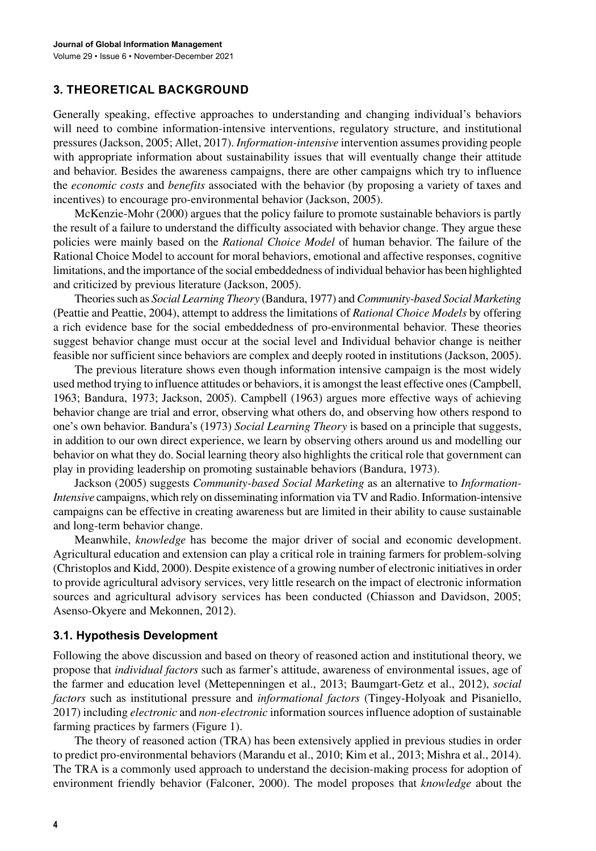# **3. THEORETICAL BACKGROUND**

Generally speaking, effective approaches to understanding and changing individual's behaviors will need to combine information-intensive interventions, regulatory structure, and institutional pressures (Jackson, 2005; Allet, 2017). *Information-intensive* intervention assumes providing people with appropriate information about sustainability issues that will eventually change their attitude and behavior. Besides the awareness campaigns, there are other campaigns which try to influence the *economic costs* and *benefits* associated with the behavior (by proposing a variety of taxes and incentives) to encourage pro-environmental behavior (Jackson, 2005).

McKenzie-Mohr (2000) argues that the policy failure to promote sustainable behaviors is partly the result of a failure to understand the difficulty associated with behavior change. They argue these policies were mainly based on the *Rational Choice Model* of human behavior. The failure of the Rational Choice Model to account for moral behaviors, emotional and affective responses, cognitive limitations, and the importance of the social embeddedness of individual behavior has been highlighted and criticized by previous literature (Jackson, 2005).

Theories such as *Social Learning Theory* (Bandura, 1977) and *Community-based Social Marketing* (Peattie and Peattie, 2004), attempt to address the limitations of *Rational Choice Models* by offering a rich evidence base for the social embeddedness of pro-environmental behavior. These theories suggest behavior change must occur at the social level and Individual behavior change is neither feasible nor sufficient since behaviors are complex and deeply rooted in institutions (Jackson, 2005).

The previous literature shows even though information intensive campaign is the most widely used method trying to influence attitudes or behaviors, it is amongst the least effective ones (Campbell, 1963; Bandura, 1973; Jackson, 2005). Campbell (1963) argues more effective ways of achieving behavior change are trial and error, observing what others do, and observing how others respond to one's own behavior. Bandura's (1973) *Social Learning Theory* is based on a principle that suggests, in addition to our own direct experience, we learn by observing others around us and modelling our behavior on what they do. Social learning theory also highlights the critical role that government can play in providing leadership on promoting sustainable behaviors (Bandura, 1973).

Jackson (2005) suggests *Community-based Social Marketing* as an alternative to *Information-Intensive* campaigns, which rely on disseminating information via TV and Radio. Information-intensive campaigns can be effective in creating awareness but are limited in their ability to cause sustainable and long-term behavior change.

Meanwhile, *knowledge* has become the major driver of social and economic development. Agricultural education and extension can play a critical role in training farmers for problem-solving (Christoplos and Kidd, 2000). Despite existence of a growing number of electronic initiatives in order to provide agricultural advisory services, very little research on the impact of electronic information sources and agricultural advisory services has been conducted (Chiasson and Davidson, 2005; Asenso-Okyere and Mekonnen, 2012).

## **3.1. Hypothesis Development**

Following the above discussion and based on theory of reasoned action and institutional theory, we propose that *individual factors* such as farmer's attitude, awareness of environmental issues, age of the farmer and education level (Mettepenningen et al., 2013; Baumgart-Getz et al., 2012), *social factors* such as institutional pressure and *informational factors* (Tingey-Holyoak and Pisaniello, 2017) including *electronic* and *non-electronic* information sources influence adoption of sustainable farming practices by farmers (Figure 1).

The theory of reasoned action (TRA) has been extensively applied in previous studies in order to predict pro-environmental behaviors (Marandu et al., 2010; Kim et al., 2013; Mishra et al., 2014). The TRA is a commonly used approach to understand the decision-making process for adoption of environment friendly behavior (Falconer, 2000). The model proposes that *knowledge* about the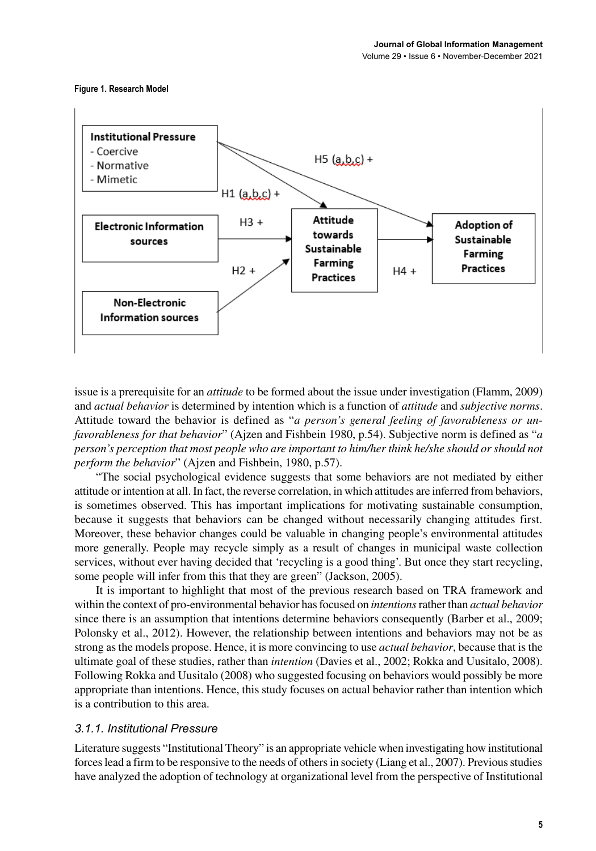#### **Figure 1. Research Model**



issue is a prerequisite for an *attitude* to be formed about the issue under investigation (Flamm, 2009) and *actual behavior* is determined by intention which is a function of *attitude* and *subjective norms*. Attitude toward the behavior is defined as "*a person's general feeling of favorableness or unfavorableness for that behavior*" (Ajzen and Fishbein 1980, p.54). Subjective norm is defined as "*a person's perception that most people who are important to him/her think he/she should or should not perform the behavior*" (Ajzen and Fishbein, 1980, p.57).

"The social psychological evidence suggests that some behaviors are not mediated by either attitude or intention at all. In fact, the reverse correlation, in which attitudes are inferred from behaviors, is sometimes observed. This has important implications for motivating sustainable consumption, because it suggests that behaviors can be changed without necessarily changing attitudes first. Moreover, these behavior changes could be valuable in changing people's environmental attitudes more generally. People may recycle simply as a result of changes in municipal waste collection services, without ever having decided that 'recycling is a good thing'. But once they start recycling, some people will infer from this that they are green" (Jackson, 2005).

It is important to highlight that most of the previous research based on TRA framework and within the context of pro-environmental behavior has focused on *intentions* rather than *actual behavior* since there is an assumption that intentions determine behaviors consequently (Barber et al., 2009; Polonsky et al., 2012). However, the relationship between intentions and behaviors may not be as strong as the models propose. Hence, it is more convincing to use *actual behavior*, because that is the ultimate goal of these studies, rather than *intention* (Davies et al., 2002; Rokka and Uusitalo, 2008). Following Rokka and Uusitalo (2008) who suggested focusing on behaviors would possibly be more appropriate than intentions. Hence, this study focuses on actual behavior rather than intention which is a contribution to this area.

#### *3.1.1. Institutional Pressure*

Literature suggests "Institutional Theory" is an appropriate vehicle when investigating how institutional forces lead a firm to be responsive to the needs of others in society (Liang et al., 2007). Previous studies have analyzed the adoption of technology at organizational level from the perspective of Institutional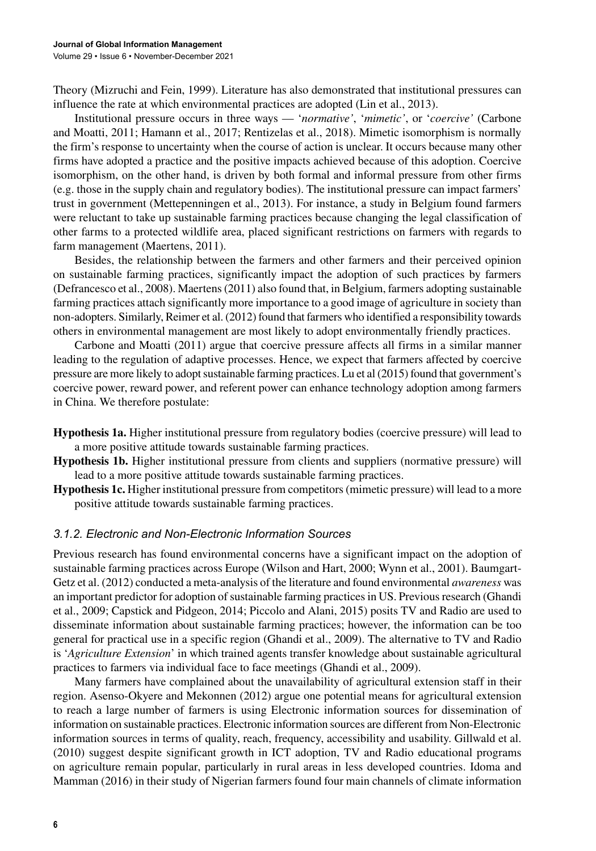Theory (Mizruchi and Fein, 1999). Literature has also demonstrated that institutional pressures can influence the rate at which environmental practices are adopted (Lin et al., 2013).

Institutional pressure occurs in three ways — '*normative'*, '*mimetic'*, or '*coercive'* (Carbone and Moatti, 2011; Hamann et al., 2017; Rentizelas et al., 2018). Mimetic isomorphism is normally the firm's response to uncertainty when the course of action is unclear. It occurs because many other firms have adopted a practice and the positive impacts achieved because of this adoption. Coercive isomorphism, on the other hand, is driven by both formal and informal pressure from other firms (e.g. those in the supply chain and regulatory bodies). The institutional pressure can impact farmers' trust in government (Mettepenningen et al., 2013). For instance, a study in Belgium found farmers were reluctant to take up sustainable farming practices because changing the legal classification of other farms to a protected wildlife area, placed significant restrictions on farmers with regards to farm management (Maertens, 2011).

Besides, the relationship between the farmers and other farmers and their perceived opinion on sustainable farming practices, significantly impact the adoption of such practices by farmers (Defrancesco et al., 2008). Maertens (2011) also found that, in Belgium, farmers adopting sustainable farming practices attach significantly more importance to a good image of agriculture in society than non-adopters. Similarly, Reimer et al. (2012) found that farmers who identified a responsibility towards others in environmental management are most likely to adopt environmentally friendly practices.

Carbone and Moatti (2011) argue that coercive pressure affects all firms in a similar manner leading to the regulation of adaptive processes. Hence, we expect that farmers affected by coercive pressure are more likely to adopt sustainable farming practices. Lu et al (2015) found that government's coercive power, reward power, and referent power can enhance technology adoption among farmers in China. We therefore postulate:

- **Hypothesis 1a.** Higher institutional pressure from regulatory bodies (coercive pressure) will lead to a more positive attitude towards sustainable farming practices.
- **Hypothesis 1b.** Higher institutional pressure from clients and suppliers (normative pressure) will lead to a more positive attitude towards sustainable farming practices.
- **Hypothesis 1c.** Higher institutional pressure from competitors (mimetic pressure) will lead to a more positive attitude towards sustainable farming practices.

#### *3.1.2. Electronic and Non-Electronic Information Sources*

Previous research has found environmental concerns have a significant impact on the adoption of sustainable farming practices across Europe (Wilson and Hart, 2000; Wynn et al., 2001). Baumgart-Getz et al. (2012) conducted a meta-analysis of the literature and found environmental *awareness* was an important predictor for adoption of sustainable farming practices in US. Previous research (Ghandi et al., 2009; Capstick and Pidgeon, 2014; Piccolo and Alani, 2015) posits TV and Radio are used to disseminate information about sustainable farming practices; however, the information can be too general for practical use in a specific region (Ghandi et al., 2009). The alternative to TV and Radio is '*Agriculture Extension*' in which trained agents transfer knowledge about sustainable agricultural practices to farmers via individual face to face meetings (Ghandi et al., 2009).

Many farmers have complained about the unavailability of agricultural extension staff in their region. Asenso-Okyere and Mekonnen (2012) argue one potential means for agricultural extension to reach a large number of farmers is using Electronic information sources for dissemination of information on sustainable practices. Electronic information sources are different from Non-Electronic information sources in terms of quality, reach, frequency, accessibility and usability. Gillwald et al. (2010) suggest despite significant growth in ICT adoption, TV and Radio educational programs on agriculture remain popular, particularly in rural areas in less developed countries. Idoma and Mamman (2016) in their study of Nigerian farmers found four main channels of climate information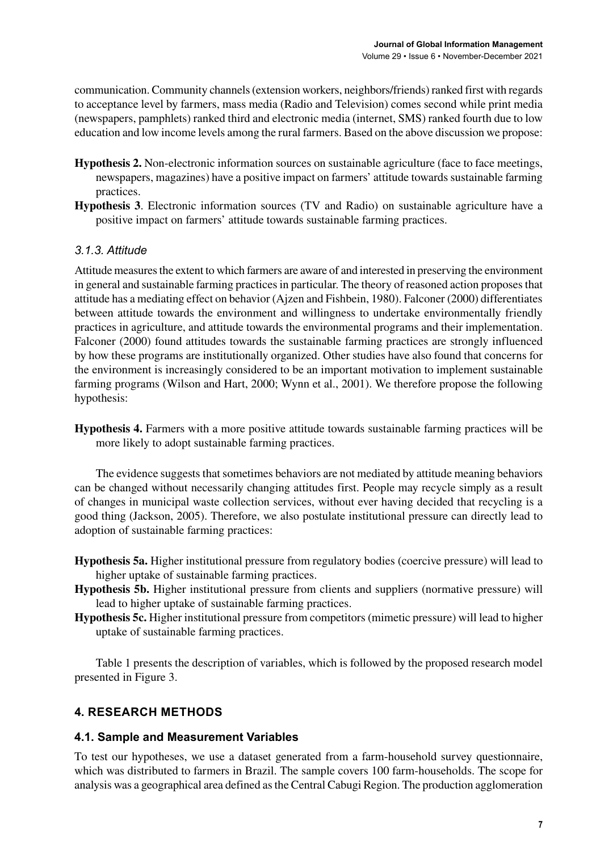communication. Community channels (extension workers, neighbors/friends) ranked first with regards to acceptance level by farmers, mass media (Radio and Television) comes second while print media (newspapers, pamphlets) ranked third and electronic media (internet, SMS) ranked fourth due to low education and low income levels among the rural farmers. Based on the above discussion we propose:

- **Hypothesis 2.** Non-electronic information sources on sustainable agriculture (face to face meetings, newspapers, magazines) have a positive impact on farmers' attitude towards sustainable farming practices.
- **Hypothesis 3**. Electronic information sources (TV and Radio) on sustainable agriculture have a positive impact on farmers' attitude towards sustainable farming practices.

# *3.1.3. Attitude*

Attitude measures the extent to which farmers are aware of and interested in preserving the environment in general and sustainable farming practices in particular. The theory of reasoned action proposes that attitude has a mediating effect on behavior (Ajzen and Fishbein, 1980). Falconer (2000) differentiates between attitude towards the environment and willingness to undertake environmentally friendly practices in agriculture, and attitude towards the environmental programs and their implementation. Falconer (2000) found attitudes towards the sustainable farming practices are strongly influenced by how these programs are institutionally organized. Other studies have also found that concerns for the environment is increasingly considered to be an important motivation to implement sustainable farming programs (Wilson and Hart, 2000; Wynn et al., 2001). We therefore propose the following hypothesis:

**Hypothesis 4.** Farmers with a more positive attitude towards sustainable farming practices will be more likely to adopt sustainable farming practices.

The evidence suggests that sometimes behaviors are not mediated by attitude meaning behaviors can be changed without necessarily changing attitudes first. People may recycle simply as a result of changes in municipal waste collection services, without ever having decided that recycling is a good thing (Jackson, 2005). Therefore, we also postulate institutional pressure can directly lead to adoption of sustainable farming practices:

- **Hypothesis 5a.** Higher institutional pressure from regulatory bodies (coercive pressure) will lead to higher uptake of sustainable farming practices.
- **Hypothesis 5b.** Higher institutional pressure from clients and suppliers (normative pressure) will lead to higher uptake of sustainable farming practices.
- **Hypothesis 5c.** Higher institutional pressure from competitors (mimetic pressure) will lead to higher uptake of sustainable farming practices.

Table 1 presents the description of variables, which is followed by the proposed research model presented in Figure 3.

# **4. RESEARCH METHODS**

## **4.1. Sample and Measurement Variables**

To test our hypotheses, we use a dataset generated from a farm-household survey questionnaire, which was distributed to farmers in Brazil. The sample covers 100 farm-households. The scope for analysis was a geographical area defined as the Central Cabugi Region. The production agglomeration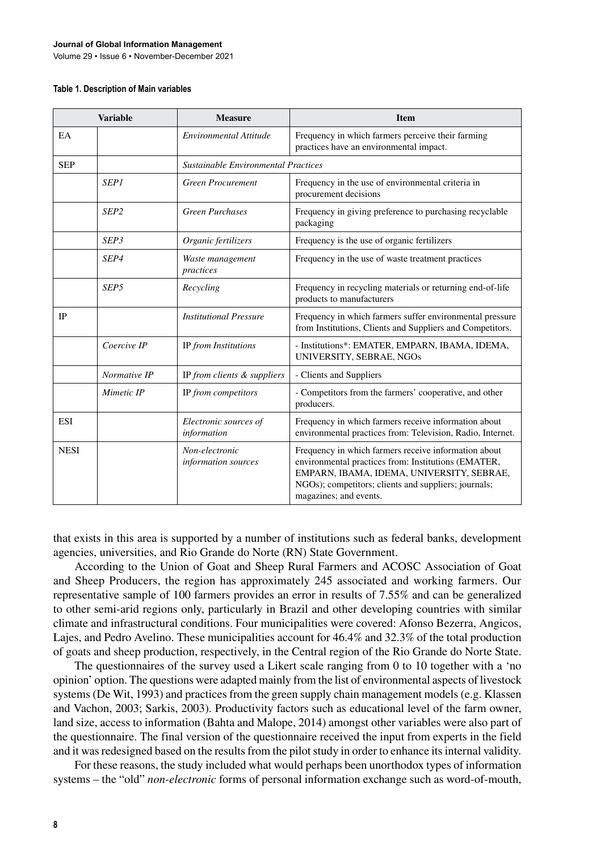#### **Journal of Global Information Management**

Volume 29 • Issue 6 • November-December 2021

#### **Table 1. Description of Main variables**

| <b>Variable</b> |                  | <b>Measure</b>                        | <b>Item</b>                                                                                                                                                                                                                                |
|-----------------|------------------|---------------------------------------|--------------------------------------------------------------------------------------------------------------------------------------------------------------------------------------------------------------------------------------------|
| EA              |                  | Environmental Attitude                | Frequency in which farmers perceive their farming<br>practices have an environmental impact.                                                                                                                                               |
| <b>SEP</b>      |                  | Sustainable Environmental Practices   |                                                                                                                                                                                                                                            |
|                 | <b>SEP1</b>      | <b>Green Procurement</b>              | Frequency in the use of environmental criteria in<br>procurement decisions                                                                                                                                                                 |
|                 | SEP <sub>2</sub> | <b>Green Purchases</b>                | Frequency in giving preference to purchasing recyclable<br>packaging                                                                                                                                                                       |
|                 | SEP3             | Organic fertilizers                   | Frequency is the use of organic fertilizers                                                                                                                                                                                                |
|                 | SEP4             | Waste management<br>practices         | Frequency in the use of waste treatment practices                                                                                                                                                                                          |
|                 | SEP <sub>5</sub> | Recycling                             | Frequency in recycling materials or returning end-of-life<br>products to manufacturers                                                                                                                                                     |
| <b>IP</b>       |                  | <b>Institutional Pressure</b>         | Frequency in which farmers suffer environmental pressure<br>from Institutions, Clients and Suppliers and Competitors.                                                                                                                      |
|                 | Coercive IP      | IP from Institutions                  | - Institutions*: EMATER, EMPARN, IBAMA, IDEMA,<br>UNIVERSITY, SEBRAE, NGOs                                                                                                                                                                 |
|                 | Normative IP     | IP from clients & suppliers           | - Clients and Suppliers                                                                                                                                                                                                                    |
|                 | Mimetic IP       | IP from competitors                   | - Competitors from the farmers' cooperative, and other<br>producers.                                                                                                                                                                       |
| <b>ESI</b>      |                  | Electronic sources of<br>information  | Frequency in which farmers receive information about<br>environmental practices from: Television, Radio, Internet.                                                                                                                         |
| <b>NESI</b>     |                  | Non-electronic<br>information sources | Frequency in which farmers receive information about<br>environmental practices from: Institutions (EMATER,<br>EMPARN, IBAMA, IDEMA, UNIVERSITY, SEBRAE,<br>NGOs); competitors; clients and suppliers; journals;<br>magazines; and events. |

that exists in this area is supported by a number of institutions such as federal banks, development agencies, universities, and Rio Grande do Norte (RN) State Government.

According to the Union of Goat and Sheep Rural Farmers and ACOSC Association of Goat and Sheep Producers, the region has approximately 245 associated and working farmers. Our representative sample of 100 farmers provides an error in results of 7.55% and can be generalized to other semi-arid regions only, particularly in Brazil and other developing countries with similar climate and infrastructural conditions. Four municipalities were covered: Afonso Bezerra, Angicos, Lajes, and Pedro Avelino. These municipalities account for 46.4% and 32.3% of the total production of goats and sheep production, respectively, in the Central region of the Rio Grande do Norte State.

The questionnaires of the survey used a Likert scale ranging from 0 to 10 together with a 'no opinion' option. The questions were adapted mainly from the list of environmental aspects of livestock systems (De Wit, 1993) and practices from the green supply chain management models (e.g. Klassen and Vachon, 2003; Sarkis, 2003). Productivity factors such as educational level of the farm owner, land size, access to information (Bahta and Malope, 2014) amongst other variables were also part of the questionnaire. The final version of the questionnaire received the input from experts in the field and it was redesigned based on the results from the pilot study in order to enhance its internal validity.

For these reasons, the study included what would perhaps been unorthodox types of information systems – the "old" *non-electronic* forms of personal information exchange such as word-of-mouth,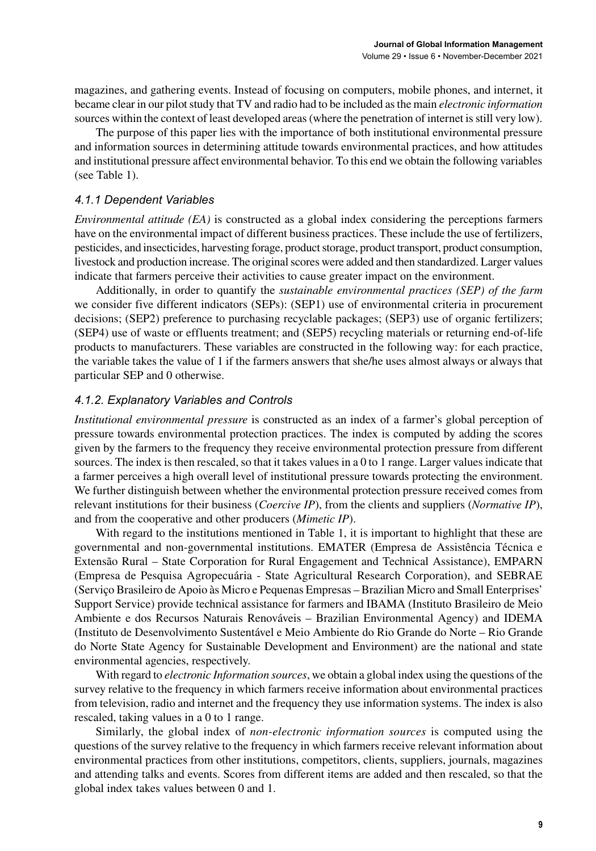magazines, and gathering events. Instead of focusing on computers, mobile phones, and internet, it became clear in our pilot study that TV and radio had to be included as the main *electronic information* sources within the context of least developed areas (where the penetration of internet is still very low).

The purpose of this paper lies with the importance of both institutional environmental pressure and information sources in determining attitude towards environmental practices, and how attitudes and institutional pressure affect environmental behavior. To this end we obtain the following variables (see Table 1).

## *4.1.1 Dependent Variables*

*Environmental attitude (EA)* is constructed as a global index considering the perceptions farmers have on the environmental impact of different business practices. These include the use of fertilizers, pesticides, and insecticides, harvesting forage, product storage, product transport, product consumption, livestock and production increase. The original scores were added and then standardized. Larger values indicate that farmers perceive their activities to cause greater impact on the environment.

Additionally, in order to quantify the *sustainable environmental practices (SEP) of the farm* we consider five different indicators (SEPs): (SEP1) use of environmental criteria in procurement decisions; (SEP2) preference to purchasing recyclable packages; (SEP3) use of organic fertilizers; (SEP4) use of waste or effluents treatment; and (SEP5) recycling materials or returning end-of-life products to manufacturers. These variables are constructed in the following way: for each practice, the variable takes the value of 1 if the farmers answers that she/he uses almost always or always that particular SEP and 0 otherwise.

## *4.1.2. Explanatory Variables and Controls*

*Institutional environmental pressure* is constructed as an index of a farmer's global perception of pressure towards environmental protection practices. The index is computed by adding the scores given by the farmers to the frequency they receive environmental protection pressure from different sources. The index is then rescaled, so that it takes values in a 0 to 1 range. Larger values indicate that a farmer perceives a high overall level of institutional pressure towards protecting the environment. We further distinguish between whether the environmental protection pressure received comes from relevant institutions for their business (*Coercive IP*), from the clients and suppliers (*Normative IP*), and from the cooperative and other producers (*Mimetic IP*).

With regard to the institutions mentioned in Table 1, it is important to highlight that these are governmental and non-governmental institutions. EMATER (Empresa de Assistência Técnica e Extensão Rural – State Corporation for Rural Engagement and Technical Assistance), EMPARN (Empresa de Pesquisa Agropecuária - State Agricultural Research Corporation), and SEBRAE (Serviço Brasileiro de Apoio às Micro e Pequenas Empresas – Brazilian Micro and Small Enterprises' Support Service) provide technical assistance for farmers and IBAMA (Instituto Brasileiro de Meio Ambiente e dos Recursos Naturais Renováveis – Brazilian Environmental Agency) and IDEMA (Instituto de Desenvolvimento Sustentável e Meio Ambiente do Rio Grande do Norte – Rio Grande do Norte State Agency for Sustainable Development and Environment) are the national and state environmental agencies, respectively.

With regard to *electronic Information sources*, we obtain a global index using the questions of the survey relative to the frequency in which farmers receive information about environmental practices from television, radio and internet and the frequency they use information systems. The index is also rescaled, taking values in a 0 to 1 range.

Similarly, the global index of *non-electronic information sources* is computed using the questions of the survey relative to the frequency in which farmers receive relevant information about environmental practices from other institutions, competitors, clients, suppliers, journals, magazines and attending talks and events. Scores from different items are added and then rescaled, so that the global index takes values between 0 and 1.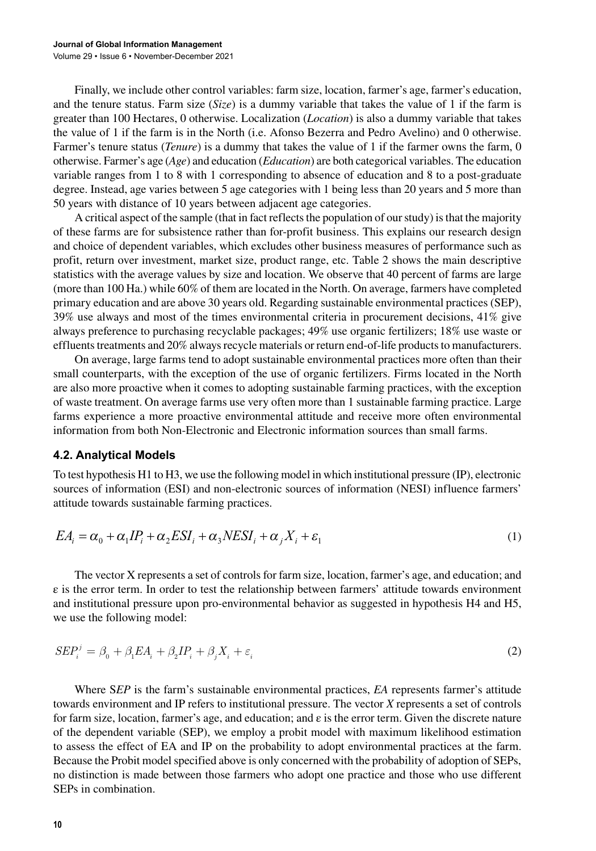Finally, we include other control variables: farm size, location, farmer's age, farmer's education, and the tenure status. Farm size (*Size*) is a dummy variable that takes the value of 1 if the farm is greater than 100 Hectares, 0 otherwise. Localization (*Location*) is also a dummy variable that takes the value of 1 if the farm is in the North (i.e. Afonso Bezerra and Pedro Avelino) and 0 otherwise. Farmer's tenure status (*Tenure*) is a dummy that takes the value of 1 if the farmer owns the farm, 0 otherwise. Farmer's age (*Age*) and education (*Education*) are both categorical variables. The education variable ranges from 1 to 8 with 1 corresponding to absence of education and 8 to a post-graduate degree. Instead, age varies between 5 age categories with 1 being less than 20 years and 5 more than 50 years with distance of 10 years between adjacent age categories.

A critical aspect of the sample (that in fact reflects the population of our study) is that the majority of these farms are for subsistence rather than for-profit business. This explains our research design and choice of dependent variables, which excludes other business measures of performance such as profit, return over investment, market size, product range, etc. Table 2 shows the main descriptive statistics with the average values by size and location. We observe that 40 percent of farms are large (more than 100 Ha.) while 60% of them are located in the North. On average, farmers have completed primary education and are above 30 years old. Regarding sustainable environmental practices (SEP), 39% use always and most of the times environmental criteria in procurement decisions, 41% give always preference to purchasing recyclable packages; 49% use organic fertilizers; 18% use waste or effluents treatments and 20% always recycle materials or return end-of-life products to manufacturers.

On average, large farms tend to adopt sustainable environmental practices more often than their small counterparts, with the exception of the use of organic fertilizers. Firms located in the North are also more proactive when it comes to adopting sustainable farming practices, with the exception of waste treatment. On average farms use very often more than 1 sustainable farming practice. Large farms experience a more proactive environmental attitude and receive more often environmental information from both Non-Electronic and Electronic information sources than small farms.

## **4.2. Analytical Models**

To test hypothesis H1 to H3, we use the following model in which institutional pressure (IP), electronic sources of information (ESI) and non-electronic sources of information (NESI) influence farmers' attitude towards sustainable farming practices.

$$
EA_i = \alpha_0 + \alpha_1 IP_i + \alpha_2 ESI_i + \alpha_3 NESI_i + \alpha_j X_i + \varepsilon_1
$$
\n<sup>(1)</sup>

The vector X represents a set of controls for farm size, location, farmer's age, and education; and  $\varepsilon$  is the error term. In order to test the relationship between farmers' attitude towards environment and institutional pressure upon pro-environmental behavior as suggested in hypothesis H4 and H5, we use the following model:

$$
SEP_i^j = \beta_0 + \beta_1 EA_i + \beta_2 IP_i + \beta_j X_i + \varepsilon_i
$$
\n<sup>(2)</sup>

Where S*EP* is the farm's sustainable environmental practices, *EA* represents farmer's attitude towards environment and IP refers to institutional pressure. The vector *X* represents a set of controls for farm size, location, farmer's age, and education; and ε is the error term. Given the discrete nature of the dependent variable (SEP), we employ a probit model with maximum likelihood estimation to assess the effect of EA and IP on the probability to adopt environmental practices at the farm. Because the Probit model specified above is only concerned with the probability of adoption of SEPs, no distinction is made between those farmers who adopt one practice and those who use different SEPs in combination.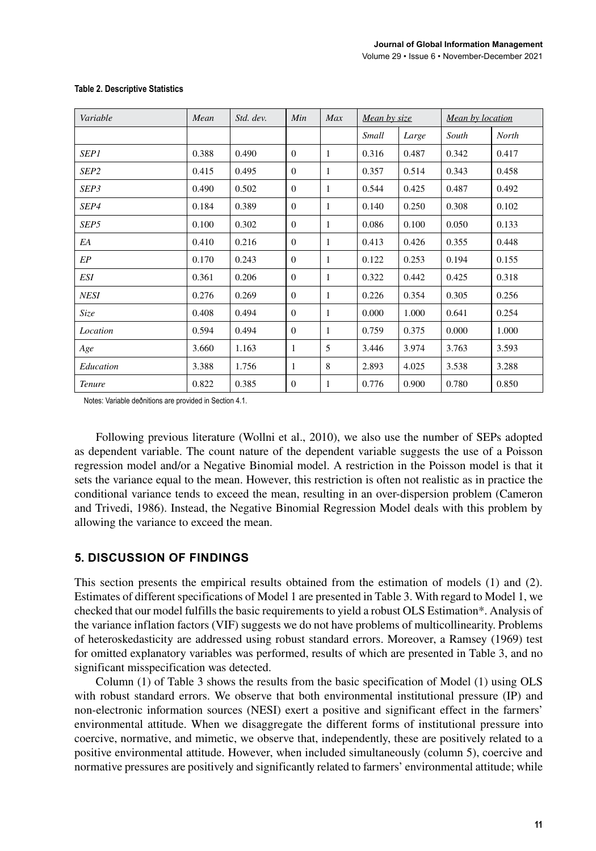| Variable         | Mean  | Std. dev. | Min          | Max          | Mean by size |       | Mean by location |       |
|------------------|-------|-----------|--------------|--------------|--------------|-------|------------------|-------|
|                  |       |           |              |              | Small        | Large | South            | North |
| <b>SEP1</b>      | 0.388 | 0.490     | $\Omega$     | 1            | 0.316        | 0.487 | 0.342            | 0.417 |
| SEP <sub>2</sub> | 0.415 | 0.495     | $\mathbf{0}$ | $\mathbf{1}$ | 0.357        | 0.514 | 0.343            | 0.458 |
| SEP3             | 0.490 | 0.502     | $\Omega$     | $\mathbf{1}$ | 0.544        | 0.425 | 0.487            | 0.492 |
| SEP4             | 0.184 | 0.389     | $\Omega$     | 1            | 0.140        | 0.250 | 0.308            | 0.102 |
| SEP5             | 0.100 | 0.302     | $\Omega$     | 1            | 0.086        | 0.100 | 0.050            | 0.133 |
| EA               | 0.410 | 0.216     | $\Omega$     | 1            | 0.413        | 0.426 | 0.355            | 0.448 |
| EP               | 0.170 | 0.243     | $\Omega$     | 1            | 0.122        | 0.253 | 0.194            | 0.155 |
| ESI              | 0.361 | 0.206     | $\Omega$     | 1            | 0.322        | 0.442 | 0.425            | 0.318 |
| <b>NESI</b>      | 0.276 | 0.269     | $\mathbf{0}$ | 1            | 0.226        | 0.354 | 0.305            | 0.256 |
| Size             | 0.408 | 0.494     | $\Omega$     | 1            | 0.000        | 1.000 | 0.641            | 0.254 |
| Location         | 0.594 | 0.494     | $\Omega$     | $\mathbf{1}$ | 0.759        | 0.375 | 0.000            | 1.000 |
| Age              | 3.660 | 1.163     | 1            | 5            | 3.446        | 3.974 | 3.763            | 3.593 |
| Education        | 3.388 | 1.756     | 1            | 8            | 2.893        | 4.025 | 3.538            | 3.288 |
| <b>Tenure</b>    | 0.822 | 0.385     | $\Omega$     | 1            | 0.776        | 0.900 | 0.780            | 0.850 |

#### **Table 2. Descriptive Statistics**

Notes: Variable deðnitions are provided in Section 4.1.

Following previous literature (Wollni et al., 2010), we also use the number of SEPs adopted as dependent variable. The count nature of the dependent variable suggests the use of a Poisson regression model and/or a Negative Binomial model. A restriction in the Poisson model is that it sets the variance equal to the mean. However, this restriction is often not realistic as in practice the conditional variance tends to exceed the mean, resulting in an over-dispersion problem (Cameron and Trivedi, 1986). Instead, the Negative Binomial Regression Model deals with this problem by allowing the variance to exceed the mean.

## **5. DISCUSSION OF FINDINGS**

This section presents the empirical results obtained from the estimation of models (1) and (2). Estimates of different specifications of Model 1 are presented in Table 3. With regard to Model 1, we checked that our model fulfills the basic requirements to yield a robust OLS Estimation\*. Analysis of the variance inflation factors (VIF) suggests we do not have problems of multicollinearity. Problems of heteroskedasticity are addressed using robust standard errors. Moreover, a Ramsey (1969) test for omitted explanatory variables was performed, results of which are presented in Table 3, and no significant misspecification was detected.

Column (1) of Table 3 shows the results from the basic specification of Model (1) using OLS with robust standard errors. We observe that both environmental institutional pressure (IP) and non-electronic information sources (NESI) exert a positive and significant effect in the farmers' environmental attitude. When we disaggregate the different forms of institutional pressure into coercive, normative, and mimetic, we observe that, independently, these are positively related to a positive environmental attitude. However, when included simultaneously (column 5), coercive and normative pressures are positively and significantly related to farmers' environmental attitude; while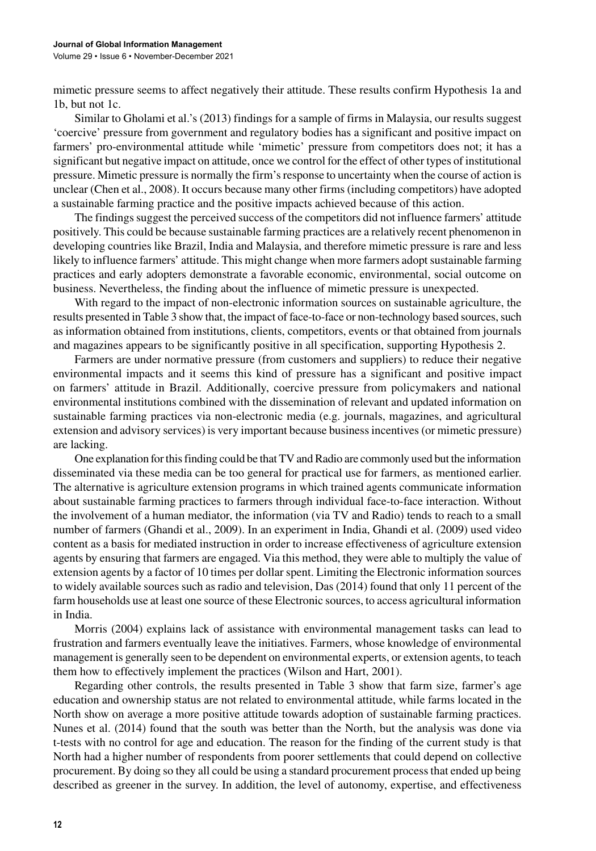mimetic pressure seems to affect negatively their attitude. These results confirm Hypothesis 1a and 1b, but not 1c.

Similar to Gholami et al.'s (2013) findings for a sample of firms in Malaysia, our results suggest 'coercive' pressure from government and regulatory bodies has a significant and positive impact on farmers' pro-environmental attitude while 'mimetic' pressure from competitors does not; it has a significant but negative impact on attitude, once we control for the effect of other types of institutional pressure. Mimetic pressure is normally the firm's response to uncertainty when the course of action is unclear (Chen et al., 2008). It occurs because many other firms (including competitors) have adopted a sustainable farming practice and the positive impacts achieved because of this action.

The findings suggest the perceived success of the competitors did not influence farmers' attitude positively. This could be because sustainable farming practices are a relatively recent phenomenon in developing countries like Brazil, India and Malaysia, and therefore mimetic pressure is rare and less likely to influence farmers' attitude. This might change when more farmers adopt sustainable farming practices and early adopters demonstrate a favorable economic, environmental, social outcome on business. Nevertheless, the finding about the influence of mimetic pressure is unexpected.

With regard to the impact of non-electronic information sources on sustainable agriculture, the results presented in Table 3 show that, the impact of face-to-face or non-technology based sources, such as information obtained from institutions, clients, competitors, events or that obtained from journals and magazines appears to be significantly positive in all specification, supporting Hypothesis 2.

Farmers are under normative pressure (from customers and suppliers) to reduce their negative environmental impacts and it seems this kind of pressure has a significant and positive impact on farmers' attitude in Brazil. Additionally, coercive pressure from policymakers and national environmental institutions combined with the dissemination of relevant and updated information on sustainable farming practices via non-electronic media (e.g. journals, magazines, and agricultural extension and advisory services) is very important because business incentives (or mimetic pressure) are lacking.

One explanation for this finding could be that TV and Radio are commonly used but the information disseminated via these media can be too general for practical use for farmers, as mentioned earlier. The alternative is agriculture extension programs in which trained agents communicate information about sustainable farming practices to farmers through individual face-to-face interaction. Without the involvement of a human mediator, the information (via TV and Radio) tends to reach to a small number of farmers (Ghandi et al., 2009). In an experiment in India, Ghandi et al. (2009) used video content as a basis for mediated instruction in order to increase effectiveness of agriculture extension agents by ensuring that farmers are engaged. Via this method, they were able to multiply the value of extension agents by a factor of 10 times per dollar spent. Limiting the Electronic information sources to widely available sources such as radio and television, Das (2014) found that only 11 percent of the farm households use at least one source of these Electronic sources, to access agricultural information in India.

Morris (2004) explains lack of assistance with environmental management tasks can lead to frustration and farmers eventually leave the initiatives. Farmers, whose knowledge of environmental management is generally seen to be dependent on environmental experts, or extension agents, to teach them how to effectively implement the practices (Wilson and Hart, 2001).

Regarding other controls, the results presented in Table 3 show that farm size, farmer's age education and ownership status are not related to environmental attitude, while farms located in the North show on average a more positive attitude towards adoption of sustainable farming practices. Nunes et al. (2014) found that the south was better than the North, but the analysis was done via t-tests with no control for age and education. The reason for the finding of the current study is that North had a higher number of respondents from poorer settlements that could depend on collective procurement. By doing so they all could be using a standard procurement process that ended up being described as greener in the survey. In addition, the level of autonomy, expertise, and effectiveness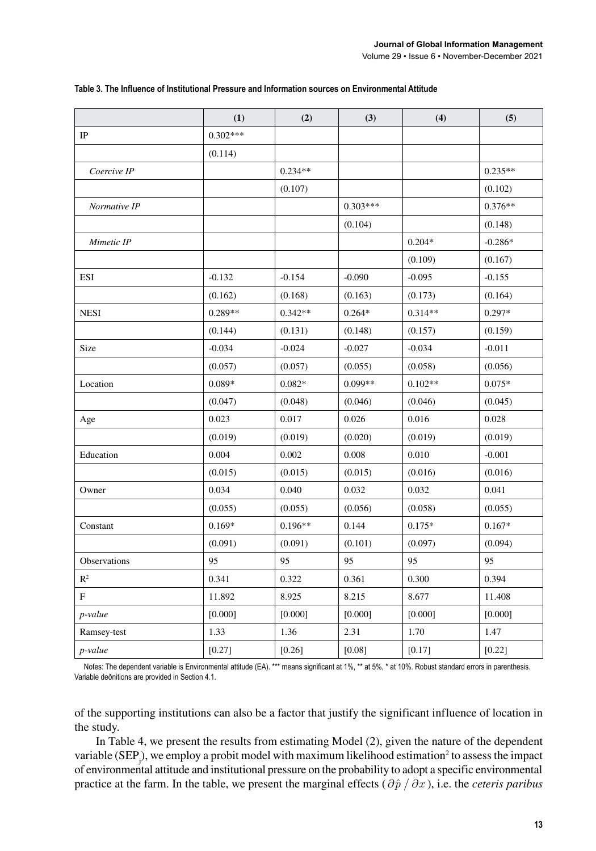|                     | (1)        | (2)       | (3)        | (4)       | (5)       |
|---------------------|------------|-----------|------------|-----------|-----------|
| $\rm IP$            | $0.302***$ |           |            |           |           |
|                     | (0.114)    |           |            |           |           |
| Coercive IP         |            | $0.234**$ |            |           | $0.235**$ |
|                     |            | (0.107)   |            |           | (0.102)   |
| Normative IP        |            |           | $0.303***$ |           | $0.376**$ |
|                     |            |           | (0.104)    |           | (0.148)   |
| Mimetic IP          |            |           |            | $0.204*$  | $-0.286*$ |
|                     |            |           |            | (0.109)   | (0.167)   |
| <b>ESI</b>          | $-0.132$   | $-0.154$  | $-0.090$   | $-0.095$  | $-0.155$  |
|                     | (0.162)    | (0.168)   | (0.163)    | (0.173)   | (0.164)   |
| <b>NESI</b>         | $0.289**$  | $0.342**$ | $0.264*$   | $0.314**$ | $0.297*$  |
|                     | (0.144)    | (0.131)   | (0.148)    | (0.157)   | (0.159)   |
| Size                | $-0.034$   | $-0.024$  | $-0.027$   | $-0.034$  | $-0.011$  |
|                     | (0.057)    | (0.057)   | (0.055)    | (0.058)   | (0.056)   |
| Location            | $0.089*$   | $0.082*$  | $0.099**$  | $0.102**$ | $0.075*$  |
|                     | (0.047)    | (0.048)   | (0.046)    | (0.046)   | (0.045)   |
| Age                 | 0.023      | 0.017     | 0.026      | 0.016     | 0.028     |
|                     | (0.019)    | (0.019)   | (0.020)    | (0.019)   | (0.019)   |
| Education           | 0.004      | 0.002     | 0.008      | 0.010     | $-0.001$  |
|                     | (0.015)    | (0.015)   | (0.015)    | (0.016)   | (0.016)   |
| Owner               | 0.034      | 0.040     | 0.032      | 0.032     | 0.041     |
|                     | (0.055)    | (0.055)   | (0.056)    | (0.058)   | (0.055)   |
| Constant            | $0.169*$   | $0.196**$ | 0.144      | $0.175*$  | $0.167*$  |
|                     | (0.091)    | (0.091)   | (0.101)    | (0.097)   | (0.094)   |
| <b>Observations</b> | 95         | 95        | 95         | 95        | 95        |
| $\mathbb{R}^2$      | 0.341      | 0.322     | 0.361      | 0.300     | 0.394     |
| F                   | 11.892     | 8.925     | 8.215      | 8.677     | 11.408    |
| p-value             | [0.000]    | [0.000]   | [0.000]    | [0.000]   | [0.000]   |
| Ramsey-test         | 1.33       | 1.36      | 2.31       | 1.70      | 1.47      |
| p-value             | [0.27]     | [0.26]    | [0.08]     | [0.17]    | [0.22]    |

#### **Table 3. The Influence of Institutional Pressure and Information sources on Environmental Attitude**

Notes: The dependent variable is Environmental attitude (EA). \*\*\* means significant at 1%, \*\* at 5%, \* at 10%. Robust standard errors in parenthesis. Variable deðnitions are provided in Section 4.1.

of the supporting institutions can also be a factor that justify the significant influence of location in the study.

In Table 4, we present the results from estimating Model (2), given the nature of the dependent variable  $(SEP_j)$ , we employ a probit model with maximum likelihood estimation<sup>2</sup> to assess the impact of environmental attitude and institutional pressure on the probability to adopt a specific environmental practice at the farm. In the table, we present the marginal effects  $(\partial \hat{p} / \partial x)$ , i.e. the *ceteris paribus*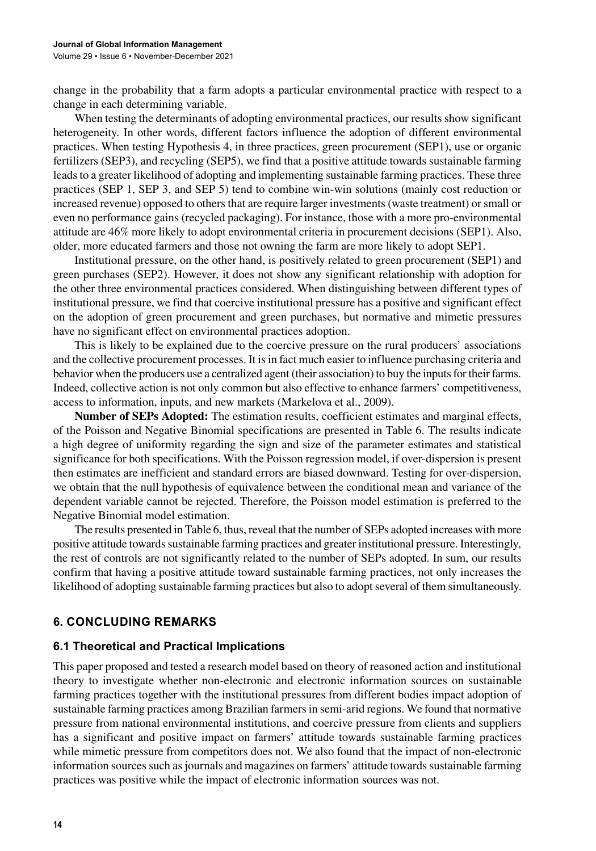change in the probability that a farm adopts a particular environmental practice with respect to a change in each determining variable.

When testing the determinants of adopting environmental practices, our results show significant heterogeneity. In other words, different factors influence the adoption of different environmental practices. When testing Hypothesis 4, in three practices, green procurement (SEP1), use or organic fertilizers (SEP3), and recycling (SEP5), we find that a positive attitude towards sustainable farming leads to a greater likelihood of adopting and implementing sustainable farming practices. These three practices (SEP 1, SEP 3, and SEP 5) tend to combine win-win solutions (mainly cost reduction or increased revenue) opposed to others that are require larger investments (waste treatment) or small or even no performance gains (recycled packaging). For instance, those with a more pro-environmental attitude are 46% more likely to adopt environmental criteria in procurement decisions (SEP1). Also, older, more educated farmers and those not owning the farm are more likely to adopt SEP1.

Institutional pressure, on the other hand, is positively related to green procurement (SEP1) and green purchases (SEP2). However, it does not show any significant relationship with adoption for the other three environmental practices considered. When distinguishing between different types of institutional pressure, we find that coercive institutional pressure has a positive and significant effect on the adoption of green procurement and green purchases, but normative and mimetic pressures have no significant effect on environmental practices adoption.

This is likely to be explained due to the coercive pressure on the rural producers' associations and the collective procurement processes. It is in fact much easier to influence purchasing criteria and behavior when the producers use a centralized agent (their association) to buy the inputs for their farms. Indeed, collective action is not only common but also effective to enhance farmers' competitiveness, access to information, inputs, and new markets (Markelova et al., 2009).

**Number of SEPs Adopted:** The estimation results, coefficient estimates and marginal effects, of the Poisson and Negative Binomial specifications are presented in Table 6. The results indicate a high degree of uniformity regarding the sign and size of the parameter estimates and statistical significance for both specifications. With the Poisson regression model, if over-dispersion is present then estimates are inefficient and standard errors are biased downward. Testing for over-dispersion, we obtain that the null hypothesis of equivalence between the conditional mean and variance of the dependent variable cannot be rejected. Therefore, the Poisson model estimation is preferred to the Negative Binomial model estimation.

The results presented in Table 6, thus, reveal that the number of SEPs adopted increases with more positive attitude towards sustainable farming practices and greater institutional pressure. Interestingly, the rest of controls are not significantly related to the number of SEPs adopted. In sum, our results confirm that having a positive attitude toward sustainable farming practices, not only increases the likelihood of adopting sustainable farming practices but also to adopt several of them simultaneously.

# **6. CONCLUDING REMARKS**

## **6.1 Theoretical and Practical Implications**

This paper proposed and tested a research model based on theory of reasoned action and institutional theory to investigate whether non-electronic and electronic information sources on sustainable farming practices together with the institutional pressures from different bodies impact adoption of sustainable farming practices among Brazilian farmers in semi-arid regions. We found that normative pressure from national environmental institutions, and coercive pressure from clients and suppliers has a significant and positive impact on farmers' attitude towards sustainable farming practices while mimetic pressure from competitors does not. We also found that the impact of non-electronic information sources such as journals and magazines on farmers' attitude towards sustainable farming practices was positive while the impact of electronic information sources was not.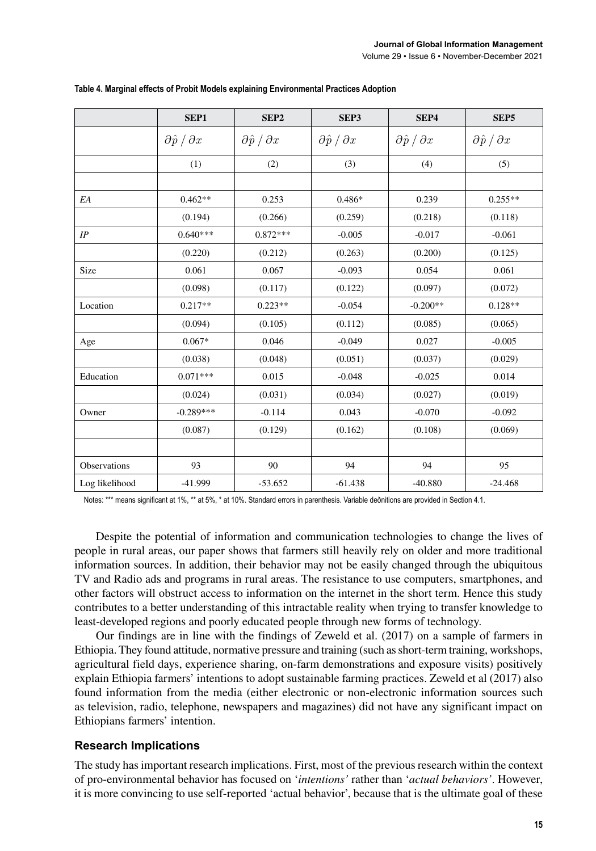|                | SEP1                            | SEP <sub>2</sub>                | SEP3                            | SEP4                            | SEP <sub>5</sub>                |
|----------------|---------------------------------|---------------------------------|---------------------------------|---------------------------------|---------------------------------|
|                | $\partial \hat{p} / \partial x$ | $\partial \hat{p} / \partial x$ | $\partial \hat{p} / \partial x$ | $\partial \hat{p} / \partial x$ | $\partial \hat{p} / \partial x$ |
|                | (1)                             | (2)                             | (3)                             | (4)                             | (5)                             |
|                |                                 |                                 |                                 |                                 |                                 |
| EΑ             | $0.462**$                       | 0.253                           | $0.486*$                        | 0.239                           | $0.255**$                       |
|                | (0.194)                         | (0.266)                         | (0.259)                         | (0.218)                         | (0.118)                         |
| IP             | $0.640***$                      | $0.872***$                      | $-0.005$                        | $-0.017$                        | $-0.061$                        |
|                | (0.220)                         | (0.212)                         | (0.263)                         | (0.200)                         | (0.125)                         |
| Size           | 0.061                           | 0.067                           | $-0.093$                        | 0.054                           | 0.061                           |
|                | (0.098)                         | (0.117)                         | (0.122)                         | (0.097)                         | (0.072)                         |
| Location       | $0.217**$                       | $0.223**$                       | $-0.054$                        | $-0.200**$                      | $0.128**$                       |
|                | (0.094)                         | (0.105)                         | (0.112)                         | (0.085)                         | (0.065)                         |
| Age            | $0.067*$                        | 0.046                           | $-0.049$                        | 0.027                           | $-0.005$                        |
|                | (0.038)                         | (0.048)                         | (0.051)                         | (0.037)                         | (0.029)                         |
| Education      | $0.071***$                      | 0.015                           | $-0.048$                        | $-0.025$                        | 0.014                           |
|                | (0.024)                         | (0.031)                         | (0.034)                         | (0.027)                         | (0.019)                         |
| Owner          | $-0.289***$                     | $-0.114$                        | 0.043                           | $-0.070$                        | $-0.092$                        |
|                | (0.087)                         | (0.129)                         | (0.162)                         | (0.108)                         | (0.069)                         |
|                |                                 |                                 |                                 |                                 |                                 |
| Observations   | 93                              | 90                              | 94                              | 94                              | 95                              |
| Log likelihood | -41.999                         | $-53.652$                       | $-61.438$                       | $-40.880$                       | $-24.468$                       |

#### **Table 4. Marginal effects of Probit Models explaining Environmental Practices Adoption**

Notes: \*\*\* means significant at 1%, \*\* at 5%, \* at 10%. Standard errors in parenthesis. Variable deðnitions are provided in Section 4.1.

Despite the potential of information and communication technologies to change the lives of people in rural areas, our paper shows that farmers still heavily rely on older and more traditional information sources. In addition, their behavior may not be easily changed through the ubiquitous TV and Radio ads and programs in rural areas. The resistance to use computers, smartphones, and other factors will obstruct access to information on the internet in the short term. Hence this study contributes to a better understanding of this intractable reality when trying to transfer knowledge to least-developed regions and poorly educated people through new forms of technology.

Our findings are in line with the findings of Zeweld et al. (2017) on a sample of farmers in Ethiopia. They found attitude, normative pressure and training (such as short-term training, workshops, agricultural field days, experience sharing, on-farm demonstrations and exposure visits) positively explain Ethiopia farmers' intentions to adopt sustainable farming practices. Zeweld et al (2017) also found information from the media (either electronic or non-electronic information sources such as television, radio, telephone, newspapers and magazines) did not have any significant impact on Ethiopians farmers' intention.

#### **Research Implications**

The study has important research implications. First, most of the previous research within the context of pro-environmental behavior has focused on '*intentions'* rather than '*actual behaviors'*. However, it is more convincing to use self-reported 'actual behavior', because that is the ultimate goal of these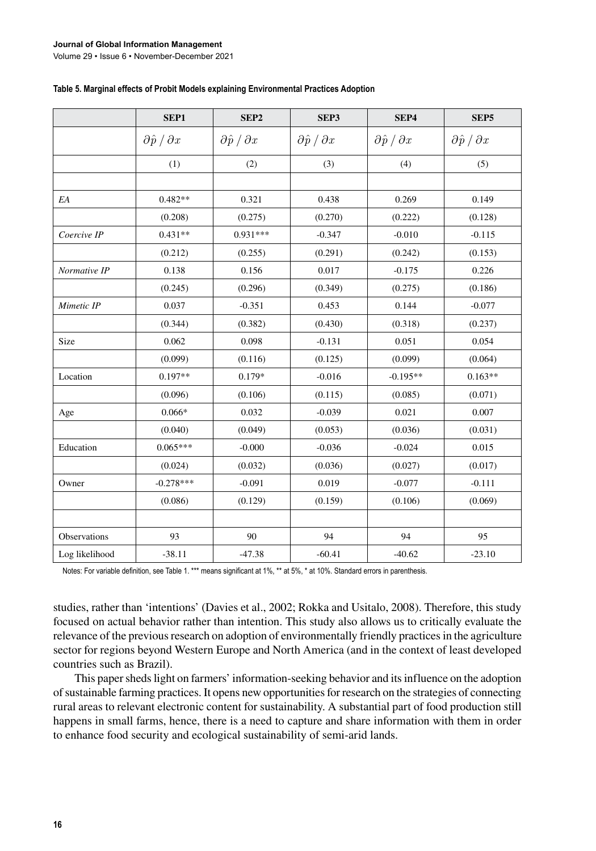#### **Journal of Global Information Management**

Volume 29 • Issue 6 • November-December 2021

|                | SEP1                            | SEP <sub>2</sub>                | SEP3                            | SEP4                            | SEP <sub>5</sub>                |
|----------------|---------------------------------|---------------------------------|---------------------------------|---------------------------------|---------------------------------|
|                | $\partial \hat{p} / \partial x$ | $\partial \hat{p} / \partial x$ | $\partial \hat{p} / \partial x$ | $\partial \hat{p} / \partial x$ | $\partial \hat{p} / \partial x$ |
|                | (1)                             | (2)                             | (3)                             | (4)                             | (5)                             |
|                |                                 |                                 |                                 |                                 |                                 |
| EA             | $0.482**$                       | 0.321                           | 0.438                           | 0.269                           | 0.149                           |
|                | (0.208)                         | (0.275)                         | (0.270)                         | (0.222)                         | (0.128)                         |
| Coercive IP    | $0.431**$                       | $0.931***$                      | $-0.347$                        | $-0.010$                        | $-0.115$                        |
|                | (0.212)                         | (0.255)                         | (0.291)                         | (0.242)                         | (0.153)                         |
| Normative IP   | 0.138                           | 0.156                           | 0.017                           | $-0.175$                        | 0.226                           |
|                | (0.245)                         | (0.296)                         | (0.349)                         | (0.275)                         | (0.186)                         |
| Mimetic IP     | 0.037                           | $-0.351$                        | 0.453                           | 0.144                           | $-0.077$                        |
|                | (0.344)                         | (0.382)                         | (0.430)                         | (0.318)                         | (0.237)                         |
| Size           | 0.062                           | 0.098                           | $-0.131$                        | 0.051                           | 0.054                           |
|                | (0.099)                         | (0.116)                         | (0.125)                         | (0.099)                         | (0.064)                         |
| Location       | $0.197**$                       | $0.179*$                        | $-0.016$                        | $-0.195**$                      | $0.163**$                       |
|                | (0.096)                         | (0.106)                         | (0.115)                         | (0.085)                         | (0.071)                         |
| Age            | $0.066*$                        | 0.032                           | $-0.039$                        | 0.021                           | 0.007                           |
|                | (0.040)                         | (0.049)                         | (0.053)                         | (0.036)                         | (0.031)                         |
| Education      | $0.065***$                      | $-0.000$                        | $-0.036$                        | $-0.024$                        | 0.015                           |
|                | (0.024)                         | (0.032)                         | (0.036)                         | (0.027)                         | (0.017)                         |
| Owner          | $-0.278***$                     | $-0.091$                        | 0.019                           | $-0.077$                        | $-0.111$                        |
|                | (0.086)                         | (0.129)                         | (0.159)                         | (0.106)                         | (0.069)                         |
|                |                                 |                                 |                                 |                                 |                                 |
| Observations   | 93                              | 90                              | 94                              | 94                              | 95                              |
| Log likelihood | $-38.11$                        | $-47.38$                        | $-60.41$                        | $-40.62$                        | $-23.10$                        |

Notes: For variable definition, see Table 1. \*\*\* means significant at 1%, \*\* at 5%, \* at 10%. Standard errors in parenthesis.

studies, rather than 'intentions' (Davies et al., 2002; Rokka and Usitalo, 2008). Therefore, this study focused on actual behavior rather than intention. This study also allows us to critically evaluate the relevance of the previous research on adoption of environmentally friendly practices in the agriculture sector for regions beyond Western Europe and North America (and in the context of least developed countries such as Brazil).

This paper sheds light on farmers' information-seeking behavior and its influence on the adoption of sustainable farming practices. It opens new opportunities for research on the strategies of connecting rural areas to relevant electronic content for sustainability. A substantial part of food production still happens in small farms, hence, there is a need to capture and share information with them in order to enhance food security and ecological sustainability of semi-arid lands.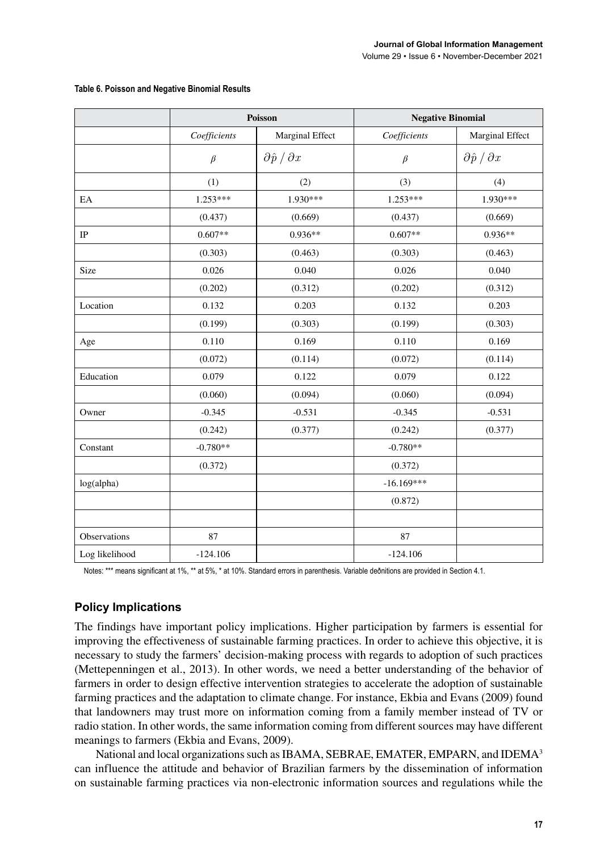|                |              | Poisson                         | <b>Negative Binomial</b> |                                 |  |
|----------------|--------------|---------------------------------|--------------------------|---------------------------------|--|
|                | Coefficients | Marginal Effect                 | Coefficients             | Marginal Effect                 |  |
|                | $\beta$      | $\partial \hat{p} / \partial x$ | $\beta$                  | $\partial \hat{p} / \partial x$ |  |
|                | (1)          | (2)                             | (3)                      | (4)                             |  |
| EA             | 1.253***     | 1.930***                        | $1.253***$               | 1.930***                        |  |
|                | (0.437)      | (0.669)                         | (0.437)                  | (0.669)                         |  |
| IP             | $0.607**$    | $0.936**$                       | $0.607**$                | $0.936**$                       |  |
|                | (0.303)      | (0.463)                         | (0.303)                  | (0.463)                         |  |
| Size           | 0.026        | 0.040                           | 0.026                    | 0.040                           |  |
|                | (0.202)      | (0.312)                         | (0.202)                  | (0.312)                         |  |
| Location       | 0.132        | 0.203                           | 0.132                    | 0.203                           |  |
|                | (0.199)      | (0.303)                         | (0.199)                  | (0.303)                         |  |
| Age            | 0.110        | 0.169                           | 0.110                    | 0.169                           |  |
|                | (0.072)      | (0.114)                         | (0.072)                  | (0.114)                         |  |
| Education      | 0.079        | 0.122                           | 0.079                    | 0.122                           |  |
|                | (0.060)      | (0.094)                         | (0.060)                  | (0.094)                         |  |
| Owner          | $-0.345$     | $-0.531$                        | $-0.345$                 | $-0.531$                        |  |
|                | (0.242)      | (0.377)                         | (0.242)                  | (0.377)                         |  |
| Constant       | $-0.780**$   |                                 | $-0.780**$               |                                 |  |
|                | (0.372)      |                                 | (0.372)                  |                                 |  |
| log(alpha)     |              |                                 | $-16.169***$             |                                 |  |
|                |              |                                 | (0.872)                  |                                 |  |
|                |              |                                 |                          |                                 |  |
| Observations   | 87           |                                 | 87                       |                                 |  |
| Log likelihood | $-124.106$   |                                 | $-124.106$               |                                 |  |

#### **Table 6. Poisson and Negative Binomial Results**

Notes: \*\*\* means significant at 1%, \*\* at 5%, \* at 10%. Standard errors in parenthesis. Variable deðnitions are provided in Section 4.1.

## **Policy Implications**

The findings have important policy implications. Higher participation by farmers is essential for improving the effectiveness of sustainable farming practices. In order to achieve this objective, it is necessary to study the farmers' decision-making process with regards to adoption of such practices (Mettepenningen et al., 2013). In other words, we need a better understanding of the behavior of farmers in order to design effective intervention strategies to accelerate the adoption of sustainable farming practices and the adaptation to climate change. For instance, Ekbia and Evans (2009) found that landowners may trust more on information coming from a family member instead of TV or radio station. In other words, the same information coming from different sources may have different meanings to farmers (Ekbia and Evans, 2009).

National and local organizations such as IBAMA, SEBRAE, EMATER, EMPARN, and IDEMA<sup>3</sup> can influence the attitude and behavior of Brazilian farmers by the dissemination of information on sustainable farming practices via non-electronic information sources and regulations while the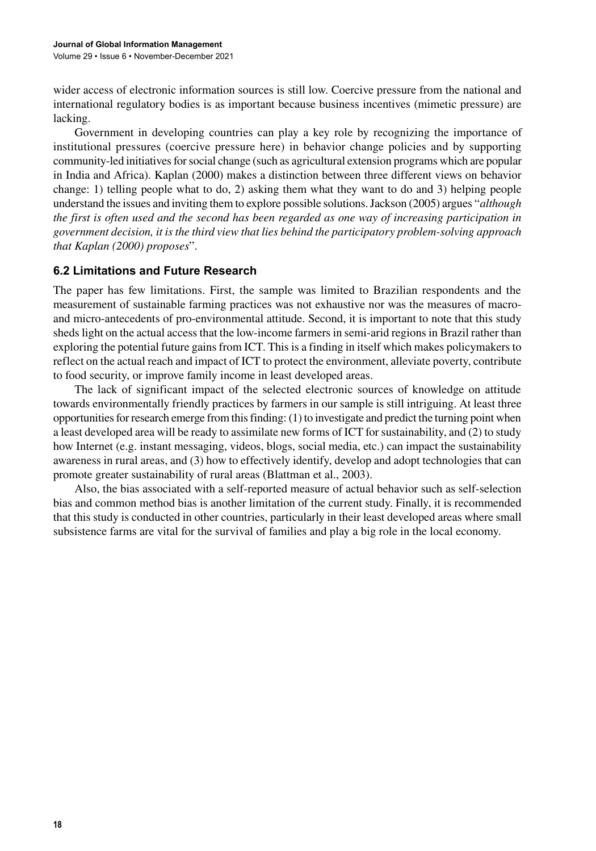wider access of electronic information sources is still low. Coercive pressure from the national and international regulatory bodies is as important because business incentives (mimetic pressure) are lacking.

Government in developing countries can play a key role by recognizing the importance of institutional pressures (coercive pressure here) in behavior change policies and by supporting community-led initiatives for social change (such as agricultural extension programs which are popular in India and Africa). Kaplan (2000) makes a distinction between three different views on behavior change: 1) telling people what to do, 2) asking them what they want to do and 3) helping people understand the issues and inviting them to explore possible solutions. Jackson (2005) argues "*although the first is often used and the second has been regarded as one way of increasing participation in government decision, it is the third view that lies behind the participatory problem-solving approach that Kaplan (2000) proposes*".

## **6.2 Limitations and Future Research**

The paper has few limitations. First, the sample was limited to Brazilian respondents and the measurement of sustainable farming practices was not exhaustive nor was the measures of macroand micro-antecedents of pro-environmental attitude. Second, it is important to note that this study sheds light on the actual access that the low-income farmers in semi-arid regions in Brazil rather than exploring the potential future gains from ICT. This is a finding in itself which makes policymakers to reflect on the actual reach and impact of ICT to protect the environment, alleviate poverty, contribute to food security, or improve family income in least developed areas.

The lack of significant impact of the selected electronic sources of knowledge on attitude towards environmentally friendly practices by farmers in our sample is still intriguing. At least three opportunities for research emerge from this finding: (1) to investigate and predict the turning point when a least developed area will be ready to assimilate new forms of ICT for sustainability, and (2) to study how Internet (e.g. instant messaging, videos, blogs, social media, etc.) can impact the sustainability awareness in rural areas, and (3) how to effectively identify, develop and adopt technologies that can promote greater sustainability of rural areas (Blattman et al., 2003).

Also, the bias associated with a self-reported measure of actual behavior such as self-selection bias and common method bias is another limitation of the current study. Finally, it is recommended that this study is conducted in other countries, particularly in their least developed areas where small subsistence farms are vital for the survival of families and play a big role in the local economy.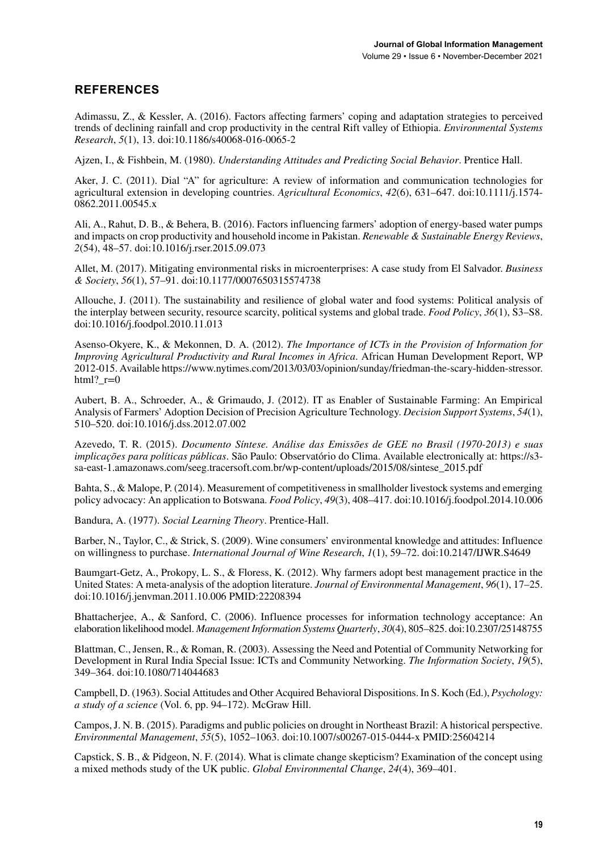# **REFERENCES**

Adimassu, Z., & Kessler, A. (2016). Factors affecting farmers' coping and adaptation strategies to perceived trends of declining rainfall and crop productivity in the central Rift valley of Ethiopia. *Environmental Systems Research*, *5*(1), 13. doi[:10.1186/s40068-016-0065-2](http://dx.doi.org/10.1186/s40068-016-0065-2)

Ajzen, I., & Fishbein, M. (1980). *Understanding Attitudes and Predicting Social Behavior*. Prentice Hall.

Aker, J. C. (2011). Dial "A" for agriculture: A review of information and communication technologies for agricultural extension in developing countries. *Agricultural Economics*, *42*(6), 631–647. doi[:10.1111/j.1574-](http://dx.doi.org/10.1111/j.1574-0862.2011.00545.x) [0862.2011.00545.x](http://dx.doi.org/10.1111/j.1574-0862.2011.00545.x)

Ali, A., Rahut, D. B., & Behera, B. (2016). Factors influencing farmers' adoption of energy-based water pumps and impacts on crop productivity and household income in Pakistan. *Renewable & Sustainable Energy Reviews*, *2*(54), 48–57. doi:[10.1016/j.rser.2015.09.073](http://dx.doi.org/10.1016/j.rser.2015.09.073)

Allet, M. (2017). Mitigating environmental risks in microenterprises: A case study from El Salvador. *Business & Society*, *56*(1), 57–91. doi:[10.1177/0007650315574738](http://dx.doi.org/10.1177/0007650315574738)

Allouche, J. (2011). The sustainability and resilience of global water and food systems: Political analysis of the interplay between security, resource scarcity, political systems and global trade. *Food Policy*, *36*(1), S3–S8. doi:[10.1016/j.foodpol.2010.11.013](http://dx.doi.org/10.1016/j.foodpol.2010.11.013)

Asenso-Okyere, K., & Mekonnen, D. A. (2012). *The Importance of ICTs in the Provision of Information for Improving Agricultural Productivity and Rural Incomes in Africa*. African Human Development Report, WP 2012-015. Available [https://www.nytimes.com/2013/03/03/opinion/sunday/friedman-the-scary-hidden-stressor.](https://www.nytimes.com/2013/03/03/opinion/sunday/friedman-the-scary-hidden-stressor.html?_r=0)  $html?$   $r=0$ 

Aubert, B. A., Schroeder, A., & Grimaudo, J. (2012). IT as Enabler of Sustainable Farming: An Empirical Analysis of Farmers' Adoption Decision of Precision Agriculture Technology. *Decision Support Systems*, *54*(1), 510–520. doi:[10.1016/j.dss.2012.07.002](http://dx.doi.org/10.1016/j.dss.2012.07.002)

Azevedo, T. R. (2015). *Documento Síntese. Análise das Emissões de GEE no Brasil (1970-2013) e suas implicações para políticas públicas*. São Paulo: Observatório do Clima. Available electronically at: [https://s3](https://s3-sa-east-1.amazonaws.com/seeg.tracersoft.com.br/wp-content/uploads/2015/08/sintese_2015.pdf) [sa-east-1.amazonaws.com/seeg.tracersoft.com.br/wp-content/uploads/2015/08/sintese\\_2015.pdf](https://s3-sa-east-1.amazonaws.com/seeg.tracersoft.com.br/wp-content/uploads/2015/08/sintese_2015.pdf)

Bahta, S., & Malope, P. (2014). Measurement of competitiveness in smallholder livestock systems and emerging policy advocacy: An application to Botswana. *Food Policy*, *49*(3), 408–417. doi:[10.1016/j.foodpol.2014.10.006](http://dx.doi.org/10.1016/j.foodpol.2014.10.006)

Bandura, A. (1977). *Social Learning Theory*. Prentice-Hall.

Barber, N., Taylor, C., & Strick, S. (2009). Wine consumers' environmental knowledge and attitudes: Influence on willingness to purchase. *International Journal of Wine Research*, *1*(1), 59–72. doi:[10.2147/IJWR.S4649](http://dx.doi.org/10.2147/IJWR.S4649)

Baumgart-Getz, A., Prokopy, L. S., & Floress, K. (2012). Why farmers adopt best management practice in the United States: A meta-analysis of the adoption literature. *Journal of Environmental Management*, *96*(1), 17–25. doi:[10.1016/j.jenvman.2011.10.006](http://dx.doi.org/10.1016/j.jenvman.2011.10.006) PMID:[22208394](http://www.ncbi.nlm.nih.gov/pubmed/22208394)

Bhattacherjee, A., & Sanford, C. (2006). Influence processes for information technology acceptance: An elaboration likelihood model. *Management Information Systems Quarterly*, *30*(4), 805–825. doi[:10.2307/25148755](http://dx.doi.org/10.2307/25148755)

Blattman, C., Jensen, R., & Roman, R. (2003). Assessing the Need and Potential of Community Networking for Development in Rural India Special Issue: ICTs and Community Networking. *The Information Society*, *19*(5), 349–364. doi:[10.1080/714044683](http://dx.doi.org/10.1080/714044683)

Campbell, D. (1963). Social Attitudes and Other Acquired Behavioral Dispositions. In S. Koch (Ed.), *Psychology: a study of a science* (Vol. 6, pp. 94–172). McGraw Hill.

Campos, J. N. B. (2015). Paradigms and public policies on drought in Northeast Brazil: A historical perspective. *Environmental Management*, *55*(5), 1052–1063. doi:[10.1007/s00267-015-0444-x](http://dx.doi.org/10.1007/s00267-015-0444-x) PMID:[25604214](http://www.ncbi.nlm.nih.gov/pubmed/25604214)

Capstick, S. B., & Pidgeon, N. F. (2014). What is climate change skepticism? Examination of the concept using a mixed methods study of the UK public. *Global Environmental Change*, *24*(4), 369–401.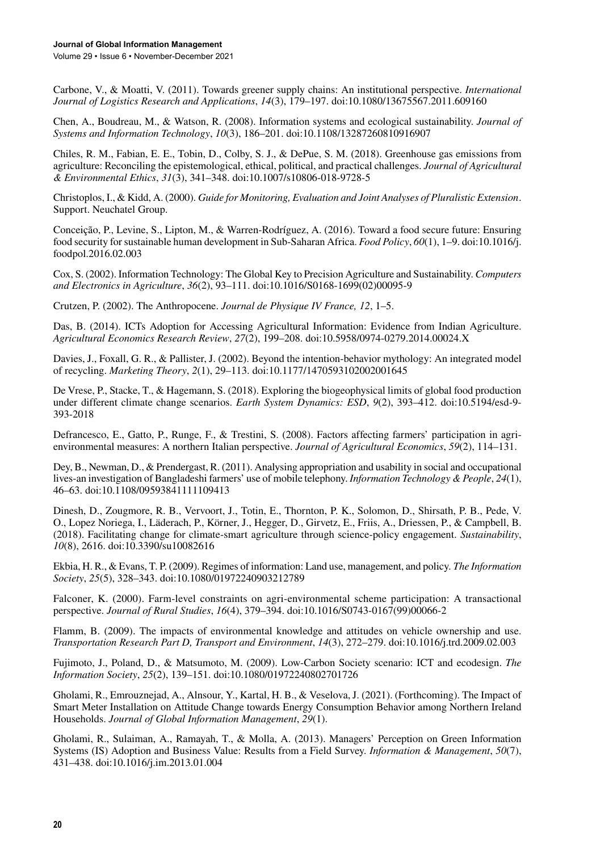Carbone, V., & Moatti, V. (2011). Towards greener supply chains: An institutional perspective. *International Journal of Logistics Research and Applications*, *14*(3), 179–197. doi[:10.1080/13675567.2011.609160](http://dx.doi.org/10.1080/13675567.2011.609160)

Chen, A., Boudreau, M., & Watson, R. (2008). Information systems and ecological sustainability. *Journal of Systems and Information Technology*, *10*(3), 186–201. doi[:10.1108/13287260810916907](http://dx.doi.org/10.1108/13287260810916907)

Chiles, R. M., Fabian, E. E., Tobin, D., Colby, S. J., & DePue, S. M. (2018). Greenhouse gas emissions from agriculture: Reconciling the epistemological, ethical, political, and practical challenges. *Journal of Agricultural & Environmental Ethics*, *31*(3), 341–348. doi:[10.1007/s10806-018-9728-5](http://dx.doi.org/10.1007/s10806-018-9728-5)

Christoplos, I., & Kidd, A. (2000). *Guide for Monitoring, Evaluation and Joint Analyses of Pluralistic Extension*. Support. Neuchatel Group.

Conceição, P., Levine, S., Lipton, M., & Warren-Rodríguez, A. (2016). Toward a food secure future: Ensuring food security for sustainable human development in Sub-Saharan Africa. *Food Policy*, *60*(1), 1–9. doi:[10.1016/j.](http://dx.doi.org/10.1016/j.foodpol.2016.02.003) [foodpol.2016.02.003](http://dx.doi.org/10.1016/j.foodpol.2016.02.003)

Cox, S. (2002). Information Technology: The Global Key to Precision Agriculture and Sustainability. *Computers and Electronics in Agriculture*, *36*(2), 93–111. doi:[10.1016/S0168-1699\(02\)00095-9](http://dx.doi.org/10.1016/S0168-1699(02)00095-9)

Crutzen, P. (2002). The Anthropocene. *Journal de Physique IV France, 12*, 1–5.

Das, B. (2014). ICTs Adoption for Accessing Agricultural Information: Evidence from Indian Agriculture. *Agricultural Economics Research Review*, *27*(2), 199–208. doi[:10.5958/0974-0279.2014.00024.X](http://dx.doi.org/10.5958/0974-0279.2014.00024.X)

Davies, J., Foxall, G. R., & Pallister, J. (2002). Beyond the intention-behavior mythology: An integrated model of recycling. *Marketing Theory*, *2*(1), 29–113. doi[:10.1177/1470593102002001645](http://dx.doi.org/10.1177/1470593102002001645)

De Vrese, P., Stacke, T., & Hagemann, S. (2018). Exploring the biogeophysical limits of global food production under different climate change scenarios. *Earth System Dynamics: ESD*, *9*(2), 393–412. doi:[10.5194/esd-9-](http://dx.doi.org/10.5194/esd-9-393-2018) [393-2018](http://dx.doi.org/10.5194/esd-9-393-2018)

Defrancesco, E., Gatto, P., Runge, F., & Trestini, S. (2008). Factors affecting farmers' participation in agrienvironmental measures: A northern Italian perspective. *Journal of Agricultural Economics*, *59*(2), 114–131.

Dey, B., Newman, D., & Prendergast, R. (2011). Analysing appropriation and usability in social and occupational lives-an investigation of Bangladeshi farmers' use of mobile telephony. *Information Technology & People*, *24*(1), 46–63. doi[:10.1108/09593841111109413](http://dx.doi.org/10.1108/09593841111109413)

Dinesh, D., Zougmore, R. B., Vervoort, J., Totin, E., Thornton, P. K., Solomon, D., Shirsath, P. B., Pede, V. O., Lopez Noriega, I., Läderach, P., Körner, J., Hegger, D., Girvetz, E., Friis, A., Driessen, P., & Campbell, B. (2018). Facilitating change for climate-smart agriculture through science-policy engagement. *Sustainability*, *10*(8), 2616. doi[:10.3390/su10082616](http://dx.doi.org/10.3390/su10082616)

Ekbia, H. R., & Evans, T. P. (2009). Regimes of information: Land use, management, and policy. *The Information Society*, *25*(5), 328–343. doi[:10.1080/01972240903212789](http://dx.doi.org/10.1080/01972240903212789)

Falconer, K. (2000). Farm-level constraints on agri-environmental scheme participation: A transactional perspective. *Journal of Rural Studies*, *16*(4), 379–394. doi:[10.1016/S0743-0167\(99\)00066-2](http://dx.doi.org/10.1016/S0743-0167(99)00066-2)

Flamm, B. (2009). The impacts of environmental knowledge and attitudes on vehicle ownership and use. *Transportation Research Part D, Transport and Environment*, *14*(3), 272–279. doi:[10.1016/j.trd.2009.02.003](http://dx.doi.org/10.1016/j.trd.2009.02.003)

Fujimoto, J., Poland, D., & Matsumoto, M. (2009). Low-Carbon Society scenario: ICT and ecodesign. *The Information Society*, *25*(2), 139–151. doi:[10.1080/01972240802701726](http://dx.doi.org/10.1080/01972240802701726)

Gholami, R., Emrouznejad, A., Alnsour, Y., Kartal, H. B., & Veselova, J. (2021). (Forthcoming). The Impact of Smart Meter Installation on Attitude Change towards Energy Consumption Behavior among Northern Ireland Households. *Journal of Global Information Management*, *29*(1).

Gholami, R., Sulaiman, A., Ramayah, T., & Molla, A. (2013). Managers' Perception on Green Information Systems (IS) Adoption and Business Value: Results from a Field Survey. *Information & Management*, *50*(7), 431–438. doi[:10.1016/j.im.2013.01.004](http://dx.doi.org/10.1016/j.im.2013.01.004)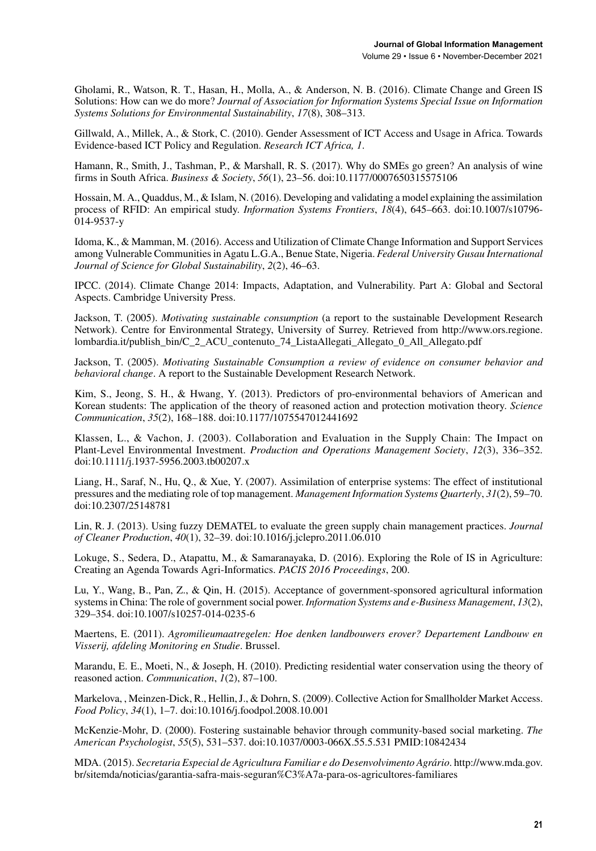Gholami, R., Watson, R. T., Hasan, H., Molla, A., & Anderson, N. B. (2016). Climate Change and Green IS Solutions: How can we do more? *Journal of Association for Information Systems Special Issue on Information Systems Solutions for Environmental Sustainability*, *17*(8), 308–313.

Gillwald, A., Millek, A., & Stork, C. (2010). Gender Assessment of ICT Access and Usage in Africa. Towards Evidence-based ICT Policy and Regulation. *Research ICT Africa, 1*.

Hamann, R., Smith, J., Tashman, P., & Marshall, R. S. (2017). Why do SMEs go green? An analysis of wine firms in South Africa. *Business & Society*, *56*(1), 23–56. doi[:10.1177/0007650315575106](http://dx.doi.org/10.1177/0007650315575106)

Hossain, M. A., Quaddus, M., & Islam, N. (2016). Developing and validating a model explaining the assimilation process of RFID: An empirical study. *Information Systems Frontiers*, *18*(4), 645–663. doi[:10.1007/s10796-](http://dx.doi.org/10.1007/s10796-014-9537-y) [014-9537-y](http://dx.doi.org/10.1007/s10796-014-9537-y)

Idoma, K., & Mamman, M. (2016). Access and Utilization of Climate Change Information and Support Services among Vulnerable Communities in Agatu L.G.A., Benue State, Nigeria. *Federal University Gusau International Journal of Science for Global Sustainability*, *2*(2), 46–63.

IPCC. (2014). Climate Change 2014: Impacts, Adaptation, and Vulnerability. Part A: Global and Sectoral Aspects. Cambridge University Press.

Jackson, T. (2005). *Motivating sustainable consumption* (a report to the sustainable Development Research Network). Centre for Environmental Strategy, University of Surrey. Retrieved from [http://www.ors.regione.](http://www.ors.regione.lombardia.it/publish_bin/C_2_ACU_contenuto_74_ListaAllegati_Allegato_0_All_Allegato.pdf) [lombardia.it/publish\\_bin/C\\_2\\_ACU\\_contenuto\\_74\\_ListaAllegati\\_Allegato\\_0\\_All\\_Allegato.pdf](http://www.ors.regione.lombardia.it/publish_bin/C_2_ACU_contenuto_74_ListaAllegati_Allegato_0_All_Allegato.pdf)

Jackson, T. (2005). *Motivating Sustainable Consumption a review of evidence on consumer behavior and behavioral change*. A report to the Sustainable Development Research Network.

Kim, S., Jeong, S. H., & Hwang, Y. (2013). Predictors of pro-environmental behaviors of American and Korean students: The application of the theory of reasoned action and protection motivation theory. *Science Communication*, *35*(2), 168–188. doi[:10.1177/1075547012441692](http://dx.doi.org/10.1177/1075547012441692)

Klassen, L., & Vachon, J. (2003). Collaboration and Evaluation in the Supply Chain: The Impact on Plant-Level Environmental Investment. *Production and Operations Management Society*, *12*(3), 336–352. doi[:10.1111/j.1937-5956.2003.tb00207.x](http://dx.doi.org/10.1111/j.1937-5956.2003.tb00207.x)

Liang, H., Saraf, N., Hu, Q., & Xue, Y. (2007). Assimilation of enterprise systems: The effect of institutional pressures and the mediating role of top management. *Management Information Systems Quarterly*, *31*(2), 59–70. doi[:10.2307/25148781](http://dx.doi.org/10.2307/25148781)

Lin, R. J. (2013). Using fuzzy DEMATEL to evaluate the green supply chain management practices. *Journal of Cleaner Production*, *40*(1), 32–39. doi[:10.1016/j.jclepro.2011.06.010](http://dx.doi.org/10.1016/j.jclepro.2011.06.010)

Lokuge, S., Sedera, D., Atapattu, M., & Samaranayaka, D. (2016). Exploring the Role of IS in Agriculture: Creating an Agenda Towards Agri-Informatics. *PACIS 2016 Proceedings*, 200.

Lu, Y., Wang, B., Pan, Z., & Qin, H. (2015). Acceptance of government-sponsored agricultural information systems in China: The role of government social power. *Information Systems and e-Business Management*, *13*(2), 329–354. doi[:10.1007/s10257-014-0235-6](http://dx.doi.org/10.1007/s10257-014-0235-6)

Maertens, E. (2011). *Agromilieumaatregelen: Hoe denken landbouwers erover? Departement Landbouw en Visserij, afdeling Monitoring en Studie*. Brussel.

Marandu, E. E., Moeti, N., & Joseph, H. (2010). Predicting residential water conservation using the theory of reasoned action. *Communication*, *1*(2), 87–100.

Markelova, , Meinzen-Dick, R., Hellin, J., & Dohrn, S. (2009). Collective Action for Smallholder Market Access. *Food Policy*, *34*(1), 1–7. doi:[10.1016/j.foodpol.2008.10.001](http://dx.doi.org/10.1016/j.foodpol.2008.10.001)

McKenzie-Mohr, D. (2000). Fostering sustainable behavior through community-based social marketing. *The American Psychologist*, *55*(5), 531–537. doi:[10.1037/0003-066X.55.5.531](http://dx.doi.org/10.1037/0003-066X.55.5.531) PMID[:10842434](http://www.ncbi.nlm.nih.gov/pubmed/10842434)

MDA. (2015). *Secretaria Especial de Agricultura Familiar e do Desenvolvimento Agrário*. [http://www.mda.gov.](http://www.mda.gov.br/sitemda/noticias/garantia-safra-mais-seguran%C3%A7a-para-os-agricultores-familiares) [br/sitemda/noticias/garantia-safra-mais-seguran%C3%A7a-para-os-agricultores-familiares](http://www.mda.gov.br/sitemda/noticias/garantia-safra-mais-seguran%C3%A7a-para-os-agricultores-familiares)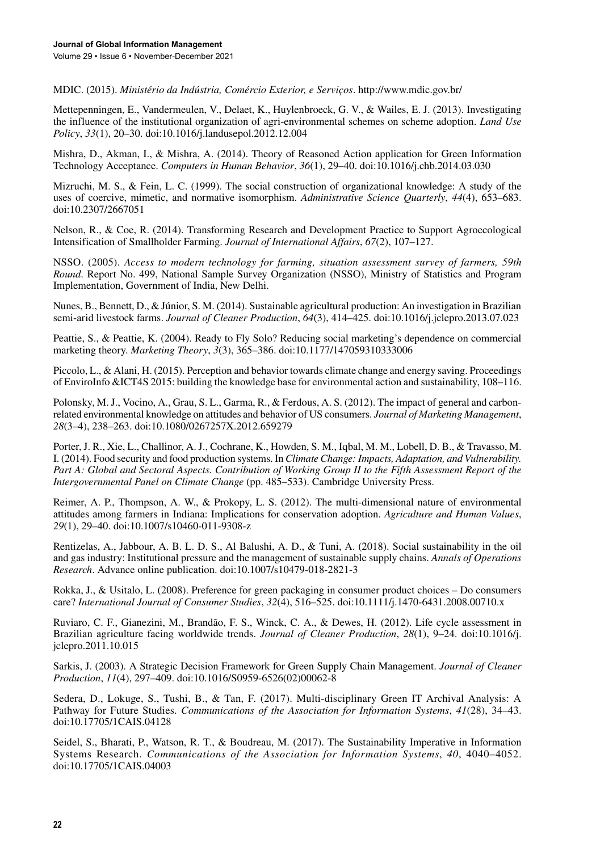MDIC. (2015). *Ministério da Indústria, Comércio Exterior, e Serviços*. <http://www.mdic.gov.br/>

Mettepenningen, E., Vandermeulen, V., Delaet, K., Huylenbroeck, G. V., & Wailes, E. J. (2013). Investigating the influence of the institutional organization of agri-environmental schemes on scheme adoption. *Land Use Policy*, *33*(1), 20–30. doi[:10.1016/j.landusepol.2012.12.004](http://dx.doi.org/10.1016/j.landusepol.2012.12.004)

Mishra, D., Akman, I., & Mishra, A. (2014). Theory of Reasoned Action application for Green Information Technology Acceptance. *Computers in Human Behavior*, *36*(1), 29–40. doi[:10.1016/j.chb.2014.03.030](http://dx.doi.org/10.1016/j.chb.2014.03.030)

Mizruchi, M. S., & Fein, L. C. (1999). The social construction of organizational knowledge: A study of the uses of coercive, mimetic, and normative isomorphism. *Administrative Science Quarterly*, *44*(4), 653–683. doi[:10.2307/2667051](http://dx.doi.org/10.2307/2667051)

Nelson, R., & Coe, R. (2014). Transforming Research and Development Practice to Support Agroecological Intensification of Smallholder Farming. *Journal of International Affairs*, *67*(2), 107–127.

NSSO. (2005). *Access to modern technology for farming, situation assessment survey of farmers, 59th Round*. Report No. 499, National Sample Survey Organization (NSSO), Ministry of Statistics and Program Implementation, Government of India, New Delhi.

Nunes, B., Bennett, D., & Júnior, S. M. (2014). Sustainable agricultural production: An investigation in Brazilian semi-arid livestock farms. *Journal of Cleaner Production*, *64*(3), 414–425. doi[:10.1016/j.jclepro.2013.07.023](http://dx.doi.org/10.1016/j.jclepro.2013.07.023)

Peattie, S., & Peattie, K. (2004). Ready to Fly Solo? Reducing social marketing's dependence on commercial marketing theory. *Marketing Theory*, *3*(3), 365–386. doi:[10.1177/147059310333006](http://dx.doi.org/10.1177/147059310333006)

Piccolo, L., & Alani, H. (2015). Perception and behavior towards climate change and energy saving. Proceedings of EnviroInfo &ICT4S 2015: building the knowledge base for environmental action and sustainability, 108–116.

Polonsky, M. J., Vocino, A., Grau, S. L., Garma, R., & Ferdous, A. S. (2012). The impact of general and carbonrelated environmental knowledge on attitudes and behavior of US consumers. *Journal of Marketing Management*, *28*(3–4), 238–263. doi:[10.1080/0267257X.2012.659279](http://dx.doi.org/10.1080/0267257X.2012.659279)

Porter, J. R., Xie, L., Challinor, A. J., Cochrane, K., Howden, S. M., Iqbal, M. M., Lobell, D. B., & Travasso, M. I. (2014). Food security and food production systems. In *Climate Change: Impacts, Adaptation, and Vulnerability.*  Part A: Global and Sectoral Aspects. Contribution of Working Group II to the Fifth Assessment Report of the *Intergovernmental Panel on Climate Change* (pp. 485–533). Cambridge University Press.

Reimer, A. P., Thompson, A. W., & Prokopy, L. S. (2012). The multi-dimensional nature of environmental attitudes among farmers in Indiana: Implications for conservation adoption. *Agriculture and Human Values*, *29*(1), 29–40. doi:[10.1007/s10460-011-9308-z](http://dx.doi.org/10.1007/s10460-011-9308-z)

Rentizelas, A., Jabbour, A. B. L. D. S., Al Balushi, A. D., & Tuni, A. (2018). Social sustainability in the oil and gas industry: Institutional pressure and the management of sustainable supply chains. *Annals of Operations Research*. Advance online publication. doi[:10.1007/s10479-018-2821-3](http://dx.doi.org/10.1007/s10479-018-2821-3)

Rokka, J., & Usitalo, L. (2008). Preference for green packaging in consumer product choices – Do consumers care? *International Journal of Consumer Studies*, *32*(4), 516–525. doi[:10.1111/j.1470-6431.2008.00710.x](http://dx.doi.org/10.1111/j.1470-6431.2008.00710.x)

Ruviaro, C. F., Gianezini, M., Brandão, F. S., Winck, C. A., & Dewes, H. (2012). Life cycle assessment in Brazilian agriculture facing worldwide trends. *Journal of Cleaner Production*, *28*(1), 9–24. doi[:10.1016/j.](http://dx.doi.org/10.1016/j.jclepro.2011.10.015) [jclepro.2011.10.015](http://dx.doi.org/10.1016/j.jclepro.2011.10.015)

Sarkis, J. (2003). A Strategic Decision Framework for Green Supply Chain Management. *Journal of Cleaner Production*, *11*(4), 297–409. doi:[10.1016/S0959-6526\(02\)00062-8](http://dx.doi.org/10.1016/S0959-6526(02)00062-8)

Sedera, D., Lokuge, S., Tushi, B., & Tan, F. (2017). Multi-disciplinary Green IT Archival Analysis: A Pathway for Future Studies. *Communications of the Association for Information Systems*, *41*(28), 34–43. doi[:10.17705/1CAIS.04128](http://dx.doi.org/10.17705/1CAIS.04128)

Seidel, S., Bharati, P., Watson, R. T., & Boudreau, M. (2017). The Sustainability Imperative in Information Systems Research. *Communications of the Association for Information Systems*, *40*, 4040–4052. doi:[10.17705/1CAIS.04003](http://dx.doi.org/10.17705/1CAIS.04003)